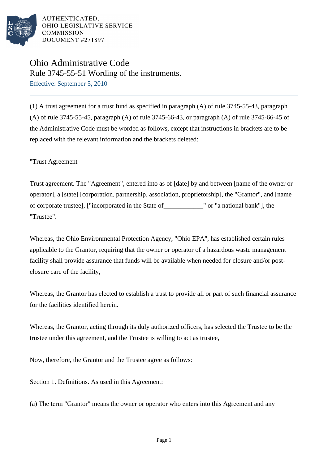

# Ohio Administrative Code Rule 3745-55-51 Wording of the instruments.

Effective: September 5, 2010

(1) A trust agreement for a trust fund as specified in paragraph (A) of rule 3745-55-43, paragraph (A) of rule 3745-55-45, paragraph (A) of rule 3745-66-43, or paragraph (A) of rule 3745-66-45 of the Administrative Code must be worded as follows, except that instructions in brackets are to be replaced with the relevant information and the brackets deleted:

"Trust Agreement

Trust agreement. The "Agreement", entered into as of [date] by and between [name of the owner or operator], a [state] [corporation, partnership, association, proprietorship], the "Grantor", and [name of corporate trustee], ["incorporated in the State of\_\_\_\_\_\_\_\_\_\_\_\_" or "a national bank"], the "Trustee".

Whereas, the Ohio Environmental Protection Agency, "Ohio EPA", has established certain rules applicable to the Grantor, requiring that the owner or operator of a hazardous waste management facility shall provide assurance that funds will be available when needed for closure and/or postclosure care of the facility,

Whereas, the Grantor has elected to establish a trust to provide all or part of such financial assurance for the facilities identified herein.

Whereas, the Grantor, acting through its duly authorized officers, has selected the Trustee to be the trustee under this agreement, and the Trustee is willing to act as trustee,

Now, therefore, the Grantor and the Trustee agree as follows:

Section 1. Definitions. As used in this Agreement:

(a) The term "Grantor" means the owner or operator who enters into this Agreement and any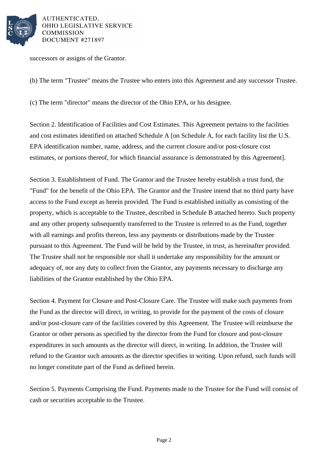

successors or assigns of the Grantor.

(b) The term "Trustee" means the Trustee who enters into this Agreement and any successor Trustee.

(c) The term "director" means the director of the Ohio EPA, or his designee.

Section 2. Identification of Facilities and Cost Estimates. This Agreement pertains to the facilities and cost estimates identified on attached Schedule A [on Schedule A, for each facility list the U.S. EPA identification number, name, address, and the current closure and/or post-closure cost estimates, or portions thereof, for which financial assurance is demonstrated by this Agreement].

Section 3. Establishment of Fund. The Grantor and the Trustee hereby establish a trust fund, the "Fund" for the benefit of the Ohio EPA. The Grantor and the Trustee intend that no third party have access to the Fund except as herein provided. The Fund is established initially as consisting of the property, which is acceptable to the Trustee, described in Schedule B attached hereto. Such property and any other property subsequently transferred to the Trustee is referred to as the Fund, together with all earnings and profits thereon, less any payments or distributions made by the Trustee pursuant to this Agreement. The Fund will be held by the Trustee, in trust, as hereinafter provided. The Trustee shall not be responsible nor shall it undertake any responsibility for the amount or adequacy of, nor any duty to collect from the Grantor, any payments necessary to discharge any liabilities of the Grantor established by the Ohio EPA.

Section 4. Payment for Closure and Post-Closure Care. The Trustee will make such payments from the Fund as the director will direct, in writing, to provide for the payment of the costs of closure and/or post-closure care of the facilities covered by this Agreement. The Trustee will reimburse the Grantor or other persons as specified by the director from the Fund for closure and post-closure expenditures in such amounts as the director will direct, in writing. In addition, the Trustee will refund to the Grantor such amounts as the director specifies in writing. Upon refund, such funds will no longer constitute part of the Fund as defined herein.

Section 5. Payments Comprising the Fund. Payments made to the Trustee for the Fund will consist of cash or securities acceptable to the Trustee.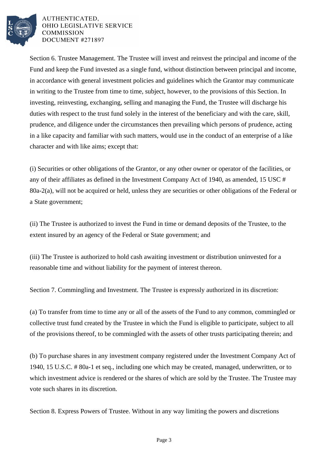

Section 6. Trustee Management. The Trustee will invest and reinvest the principal and income of the Fund and keep the Fund invested as a single fund, without distinction between principal and income, in accordance with general investment policies and guidelines which the Grantor may communicate in writing to the Trustee from time to time, subject, however, to the provisions of this Section. In investing, reinvesting, exchanging, selling and managing the Fund, the Trustee will discharge his duties with respect to the trust fund solely in the interest of the beneficiary and with the care, skill, prudence, and diligence under the circumstances then prevailing which persons of prudence, acting in a like capacity and familiar with such matters, would use in the conduct of an enterprise of a like character and with like aims; except that:

(i) Securities or other obligations of the Grantor, or any other owner or operator of the facilities, or any of their affiliates as defined in the Investment Company Act of 1940, as amended, 15 USC # 80a-2(a), will not be acquired or held, unless they are securities or other obligations of the Federal or a State government;

(ii) The Trustee is authorized to invest the Fund in time or demand deposits of the Trustee, to the extent insured by an agency of the Federal or State government; and

(iii) The Trustee is authorized to hold cash awaiting investment or distribution uninvested for a reasonable time and without liability for the payment of interest thereon.

Section 7. Commingling and Investment. The Trustee is expressly authorized in its discretion:

(a) To transfer from time to time any or all of the assets of the Fund to any common, commingled or collective trust fund created by the Trustee in which the Fund is eligible to participate, subject to all of the provisions thereof, to be commingled with the assets of other trusts participating therein; and

(b) To purchase shares in any investment company registered under the Investment Company Act of 1940, 15 U.S.C. # 80a-1 et seq., including one which may be created, managed, underwritten, or to which investment advice is rendered or the shares of which are sold by the Trustee. The Trustee may vote such shares in its discretion.

Section 8. Express Powers of Trustee. Without in any way limiting the powers and discretions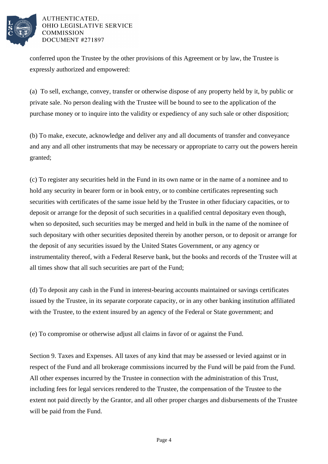

conferred upon the Trustee by the other provisions of this Agreement or by law, the Trustee is expressly authorized and empowered:

(a) To sell, exchange, convey, transfer or otherwise dispose of any property held by it, by public or private sale. No person dealing with the Trustee will be bound to see to the application of the purchase money or to inquire into the validity or expediency of any such sale or other disposition;

(b) To make, execute, acknowledge and deliver any and all documents of transfer and conveyance and any and all other instruments that may be necessary or appropriate to carry out the powers herein granted;

(c) To register any securities held in the Fund in its own name or in the name of a nominee and to hold any security in bearer form or in book entry, or to combine certificates representing such securities with certificates of the same issue held by the Trustee in other fiduciary capacities, or to deposit or arrange for the deposit of such securities in a qualified central depositary even though, when so deposited, such securities may be merged and held in bulk in the name of the nominee of such depositary with other securities deposited therein by another person, or to deposit or arrange for the deposit of any securities issued by the United States Government, or any agency or instrumentality thereof, with a Federal Reserve bank, but the books and records of the Trustee will at all times show that all such securities are part of the Fund;

(d) To deposit any cash in the Fund in interest-bearing accounts maintained or savings certificates issued by the Trustee, in its separate corporate capacity, or in any other banking institution affiliated with the Trustee, to the extent insured by an agency of the Federal or State government; and

(e) To compromise or otherwise adjust all claims in favor of or against the Fund.

Section 9. Taxes and Expenses. All taxes of any kind that may be assessed or levied against or in respect of the Fund and all brokerage commissions incurred by the Fund will be paid from the Fund. All other expenses incurred by the Trustee in connection with the administration of this Trust, including fees for legal services rendered to the Trustee, the compensation of the Trustee to the extent not paid directly by the Grantor, and all other proper charges and disbursements of the Trustee will be paid from the Fund.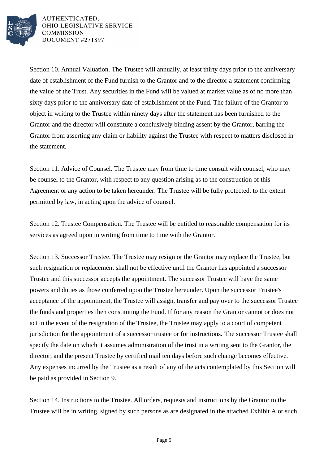

Section 10. Annual Valuation. The Trustee will annually, at least thirty days prior to the anniversary date of establishment of the Fund furnish to the Grantor and to the director a statement confirming the value of the Trust. Any securities in the Fund will be valued at market value as of no more than sixty days prior to the anniversary date of establishment of the Fund. The failure of the Grantor to object in writing to the Trustee within ninety days after the statement has been furnished to the Grantor and the director will constitute a conclusively binding assent by the Grantor, barring the Grantor from asserting any claim or liability against the Trustee with respect to matters disclosed in the statement.

Section 11. Advice of Counsel. The Trustee may from time to time consult with counsel, who may be counsel to the Grantor, with respect to any question arising as to the construction of this Agreement or any action to be taken hereunder. The Trustee will be fully protected, to the extent permitted by law, in acting upon the advice of counsel.

Section 12. Trustee Compensation. The Trustee will be entitled to reasonable compensation for its services as agreed upon in writing from time to time with the Grantor.

Section 13. Successor Trustee. The Trustee may resign or the Grantor may replace the Trustee, but such resignation or replacement shall not be effective until the Grantor has appointed a successor Trustee and this successor accepts the appointment. The successor Trustee will have the same powers and duties as those conferred upon the Trustee hereunder. Upon the successor Trustee's acceptance of the appointment, the Trustee will assign, transfer and pay over to the successor Trustee the funds and properties then constituting the Fund. If for any reason the Grantor cannot or does not act in the event of the resignation of the Trustee, the Trustee may apply to a court of competent jurisdiction for the appointment of a successor trustee or for instructions. The successor Trustee shall specify the date on which it assumes administration of the trust in a writing sent to the Grantor, the director, and the present Trustee by certified mail ten days before such change becomes effective. Any expenses incurred by the Trustee as a result of any of the acts contemplated by this Section will be paid as provided in Section 9.

Section 14. Instructions to the Trustee. All orders, requests and instructions by the Grantor to the Trustee will be in writing, signed by such persons as are designated in the attached Exhibit A or such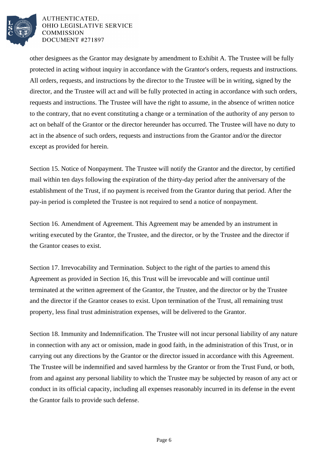

other designees as the Grantor may designate by amendment to Exhibit A. The Trustee will be fully protected in acting without inquiry in accordance with the Grantor's orders, requests and instructions. All orders, requests, and instructions by the director to the Trustee will be in writing, signed by the director, and the Trustee will act and will be fully protected in acting in accordance with such orders, requests and instructions. The Trustee will have the right to assume, in the absence of written notice to the contrary, that no event constituting a change or a termination of the authority of any person to act on behalf of the Grantor or the director hereunder has occurred. The Trustee will have no duty to act in the absence of such orders, requests and instructions from the Grantor and/or the director except as provided for herein.

Section 15. Notice of Nonpayment. The Trustee will notify the Grantor and the director, by certified mail within ten days following the expiration of the thirty-day period after the anniversary of the establishment of the Trust, if no payment is received from the Grantor during that period. After the pay-in period is completed the Trustee is not required to send a notice of nonpayment.

Section 16. Amendment of Agreement. This Agreement may be amended by an instrument in writing executed by the Grantor, the Trustee, and the director, or by the Trustee and the director if the Grantor ceases to exist.

Section 17. Irrevocability and Termination. Subject to the right of the parties to amend this Agreement as provided in Section 16, this Trust will be irrevocable and will continue until terminated at the written agreement of the Grantor, the Trustee, and the director or by the Trustee and the director if the Grantor ceases to exist. Upon termination of the Trust, all remaining trust property, less final trust administration expenses, will be delivered to the Grantor.

Section 18. Immunity and Indemnification. The Trustee will not incur personal liability of any nature in connection with any act or omission, made in good faith, in the administration of this Trust, or in carrying out any directions by the Grantor or the director issued in accordance with this Agreement. The Trustee will be indemnified and saved harmless by the Grantor or from the Trust Fund, or both, from and against any personal liability to which the Trustee may be subjected by reason of any act or conduct in its official capacity, including all expenses reasonably incurred in its defense in the event the Grantor fails to provide such defense.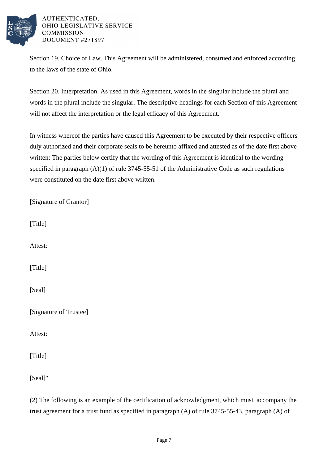

Section 19. Choice of Law. This Agreement will be administered, construed and enforced according to the laws of the state of Ohio.

Section 20. Interpretation. As used in this Agreement, words in the singular include the plural and words in the plural include the singular. The descriptive headings for each Section of this Agreement will not affect the interpretation or the legal efficacy of this Agreement.

In witness whereof the parties have caused this Agreement to be executed by their respective officers duly authorized and their corporate seals to be hereunto affixed and attested as of the date first above written: The parties below certify that the wording of this Agreement is identical to the wording specified in paragraph (A)(1) of rule 3745-55-51 of the Administrative Code as such regulations were constituted on the date first above written.

| [Signature of Grantor] |
|------------------------|
| [Title]                |
| Attest:                |
| [Title]                |
| [Seal]                 |
| [Signature of Trustee] |
| Attest:                |
| [Title]                |
| [Seal]"                |

(2) The following is an example of the certification of acknowledgment, which must accompany the trust agreement for a trust fund as specified in paragraph (A) of rule 3745-55-43, paragraph (A) of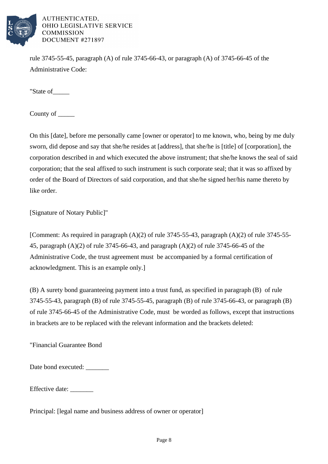

rule 3745-55-45, paragraph (A) of rule 3745-66-43, or paragraph (A) of 3745-66-45 of the Administrative Code:

"State of\_\_\_\_\_

County of \_\_\_\_\_\_

On this [date], before me personally came [owner or operator] to me known, who, being by me duly sworn, did depose and say that she/he resides at [address], that she/he is [title] of [corporation], the corporation described in and which executed the above instrument; that she/he knows the seal of said corporation; that the seal affixed to such instrument is such corporate seal; that it was so affixed by order of the Board of Directors of said corporation, and that she/he signed her/his name thereto by like order.

[Signature of Notary Public]"

[Comment: As required in paragraph  $(A)(2)$  of rule 3745-55-43, paragraph  $(A)(2)$  of rule 3745-55-45, paragraph (A)(2) of rule 3745-66-43, and paragraph (A)(2) of rule 3745-66-45 of the Administrative Code, the trust agreement must be accompanied by a formal certification of acknowledgment. This is an example only.]

(B) A surety bond guaranteeing payment into a trust fund, as specified in paragraph (B) of rule 3745-55-43, paragraph (B) of rule 3745-55-45, paragraph (B) of rule 3745-66-43, or paragraph (B) of rule 3745-66-45 of the Administrative Code, must be worded as follows, except that instructions in brackets are to be replaced with the relevant information and the brackets deleted:

"Financial Guarantee Bond

Date bond executed: \_\_\_\_\_\_\_

Effective date: \_\_\_\_\_\_\_

Principal: [legal name and business address of owner or operator]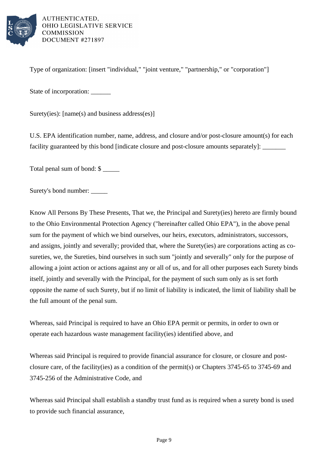

Type of organization: [insert "individual," "joint venture," "partnership," or "corporation"]

State of incorporation: \_\_\_\_\_\_

Surety(ies): [name(s) and business address(es)]

U.S. EPA identification number, name, address, and closure and/or post-closure amount(s) for each facility guaranteed by this bond [indicate closure and post-closure amounts separately]:

Total penal sum of bond: \$

Surety's bond number: \_\_\_\_\_

Know All Persons By These Presents, That we, the Principal and Surety(ies) hereto are firmly bound to the Ohio Environmental Protection Agency ("hereinafter called Ohio EPA"), in the above penal sum for the payment of which we bind ourselves, our heirs, executors, administrators, successors, and assigns, jointly and severally; provided that, where the Surety(ies) are corporations acting as cosureties, we, the Sureties, bind ourselves in such sum "jointly and severally" only for the purpose of allowing a joint action or actions against any or all of us, and for all other purposes each Surety binds itself, jointly and severally with the Principal, for the payment of such sum only as is set forth opposite the name of such Surety, but if no limit of liability is indicated, the limit of liability shall be the full amount of the penal sum.

Whereas, said Principal is required to have an Ohio EPA permit or permits, in order to own or operate each hazardous waste management facility(ies) identified above, and

Whereas said Principal is required to provide financial assurance for closure, or closure and postclosure care, of the facility(ies) as a condition of the permit(s) or Chapters 3745-65 to 3745-69 and 3745-256 of the Administrative Code, and

Whereas said Principal shall establish a standby trust fund as is required when a surety bond is used to provide such financial assurance,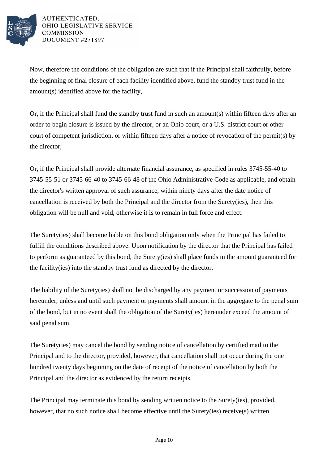

Now, therefore the conditions of the obligation are such that if the Principal shall faithfully, before the beginning of final closure of each facility identified above, fund the standby trust fund in the amount(s) identified above for the facility,

Or, if the Principal shall fund the standby trust fund in such an amount(s) within fifteen days after an order to begin closure is issued by the director, or an Ohio court, or a U.S. district court or other court of competent jurisdiction, or within fifteen days after a notice of revocation of the permit(s) by the director,

Or, if the Principal shall provide alternate financial assurance, as specified in rules 3745-55-40 to 3745-55-51 or 3745-66-40 to 3745-66-48 of the Ohio Administrative Code as applicable, and obtain the director's written approval of such assurance, within ninety days after the date notice of cancellation is received by both the Principal and the director from the Surety(ies), then this obligation will be null and void, otherwise it is to remain in full force and effect.

The Surety(ies) shall become liable on this bond obligation only when the Principal has failed to fulfill the conditions described above. Upon notification by the director that the Principal has failed to perform as guaranteed by this bond, the Surety(ies) shall place funds in the amount guaranteed for the facility(ies) into the standby trust fund as directed by the director.

The liability of the Surety(ies) shall not be discharged by any payment or succession of payments hereunder, unless and until such payment or payments shall amount in the aggregate to the penal sum of the bond, but in no event shall the obligation of the Surety(ies) hereunder exceed the amount of said penal sum.

The Surety(ies) may cancel the bond by sending notice of cancellation by certified mail to the Principal and to the director, provided, however, that cancellation shall not occur during the one hundred twenty days beginning on the date of receipt of the notice of cancellation by both the Principal and the director as evidenced by the return receipts.

The Principal may terminate this bond by sending written notice to the Surety(ies), provided, however, that no such notice shall become effective until the Surety(ies) receive(s) written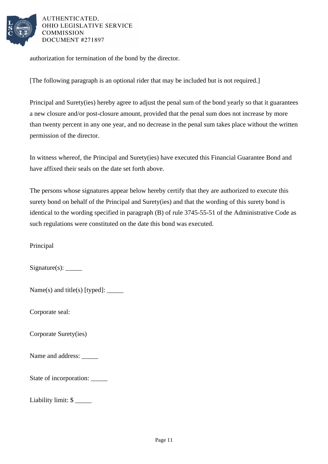

authorization for termination of the bond by the director.

[The following paragraph is an optional rider that may be included but is not required.]

Principal and Surety(ies) hereby agree to adjust the penal sum of the bond yearly so that it guarantees a new closure and/or post-closure amount, provided that the penal sum does not increase by more than twenty percent in any one year, and no decrease in the penal sum takes place without the written permission of the director.

In witness whereof, the Principal and Surety(ies) have executed this Financial Guarantee Bond and have affixed their seals on the date set forth above.

The persons whose signatures appear below hereby certify that they are authorized to execute this surety bond on behalf of the Principal and Surety(ies) and that the wording of this surety bond is identical to the wording specified in paragraph (B) of rule 3745-55-51 of the Administrative Code as such regulations were constituted on the date this bond was executed.

Principal

Signature(s): \_\_\_\_\_

Name(s) and title(s) [typed]:  $\_\_\_\_\_\_\_\_\_\_\_\_\_\_\_\_\_\_\_\_\_\_\_\_\_\_\_\_\_$ 

Corporate seal:

Corporate Surety(ies)

Name and address:

State of incorporation:

Liability limit: \$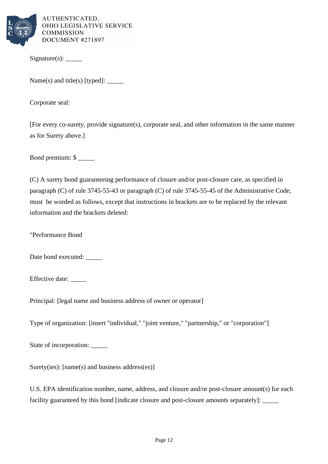

Signature(s): \_\_\_\_\_

Name(s) and title(s) [typed]: \_\_\_\_\_

Corporate seal:

[For every co-surety, provide signature(s), corporate seal, and other information in the same manner as for Surety above.]

Bond premium: \$ \_\_\_\_\_

(C) A surety bond guaranteeing performance of closure and/or post-closure care, as specified in paragraph (C) of rule 3745-55-43 or paragraph (C) of rule 3745-55-45 of the Administrative Code, must be worded as follows, except that instructions in brackets are to be replaced by the relevant information and the brackets deleted:

"Performance Bond

Date bond executed:

Effective date:

Principal: [legal name and business address of owner or operator]

Type of organization: [insert "individual," "joint venture," "partnership," or "corporation"]

State of incorporation:

Surety(ies): [name(s) and business address(es)]

U.S. EPA identification number, name, address, and closure and/or post-closure amount(s) for each facility guaranteed by this bond [indicate closure and post-closure amounts separately]: \_\_\_\_\_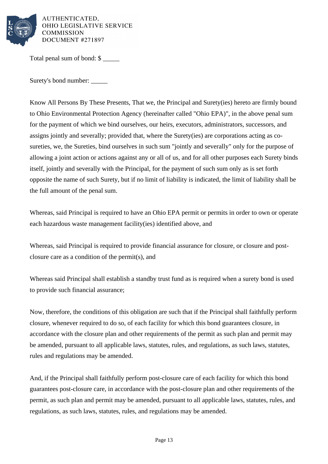

Total penal sum of bond: \$

Surety's bond number: \_\_\_\_\_

Know All Persons By These Presents, That we, the Principal and Surety(ies) hereto are firmly bound to Ohio Environmental Protection Agency (hereinafter called "Ohio EPA)", in the above penal sum for the payment of which we bind ourselves, our heirs, executors, administrators, successors, and assigns jointly and severally; provided that, where the Surety(ies) are corporations acting as cosureties, we, the Sureties, bind ourselves in such sum "jointly and severally" only for the purpose of allowing a joint action or actions against any or all of us, and for all other purposes each Surety binds itself, jointly and severally with the Principal, for the payment of such sum only as is set forth opposite the name of such Surety, but if no limit of liability is indicated, the limit of liability shall be the full amount of the penal sum.

Whereas, said Principal is required to have an Ohio EPA permit or permits in order to own or operate each hazardous waste management facility(ies) identified above, and

Whereas, said Principal is required to provide financial assurance for closure, or closure and postclosure care as a condition of the permit(s), and

Whereas said Principal shall establish a standby trust fund as is required when a surety bond is used to provide such financial assurance;

Now, therefore, the conditions of this obligation are such that if the Principal shall faithfully perform closure, whenever required to do so, of each facility for which this bond guarantees closure, in accordance with the closure plan and other requirements of the permit as such plan and permit may be amended, pursuant to all applicable laws, statutes, rules, and regulations, as such laws, statutes, rules and regulations may be amended.

And, if the Principal shall faithfully perform post-closure care of each facility for which this bond guarantees post-closure care, in accordance with the post-closure plan and other requirements of the permit, as such plan and permit may be amended, pursuant to all applicable laws, statutes, rules, and regulations, as such laws, statutes, rules, and regulations may be amended.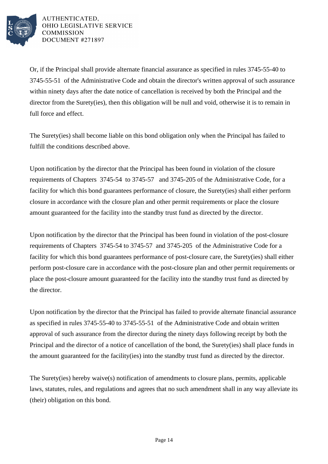

Or, if the Principal shall provide alternate financial assurance as specified in rules 3745-55-40 to 3745-55-51 of the Administrative Code and obtain the director's written approval of such assurance within ninety days after the date notice of cancellation is received by both the Principal and the director from the Surety(ies), then this obligation will be null and void, otherwise it is to remain in full force and effect.

The Surety(ies) shall become liable on this bond obligation only when the Principal has failed to fulfill the conditions described above.

Upon notification by the director that the Principal has been found in violation of the closure requirements of Chapters 3745-54 to 3745-57 and 3745-205 of the Administrative Code, for a facility for which this bond guarantees performance of closure, the Surety(ies) shall either perform closure in accordance with the closure plan and other permit requirements or place the closure amount guaranteed for the facility into the standby trust fund as directed by the director.

Upon notification by the director that the Principal has been found in violation of the post-closure requirements of Chapters 3745-54 to 3745-57 and 3745-205 of the Administrative Code for a facility for which this bond guarantees performance of post-closure care, the Surety(ies) shall either perform post-closure care in accordance with the post-closure plan and other permit requirements or place the post-closure amount guaranteed for the facility into the standby trust fund as directed by the director.

Upon notification by the director that the Principal has failed to provide alternate financial assurance as specified in rules 3745-55-40 to 3745-55-51 of the Administrative Code and obtain written approval of such assurance from the director during the ninety days following receipt by both the Principal and the director of a notice of cancellation of the bond, the Surety(ies) shall place funds in the amount guaranteed for the facility(ies) into the standby trust fund as directed by the director.

The Surety(ies) hereby waive(s) notification of amendments to closure plans, permits, applicable laws, statutes, rules, and regulations and agrees that no such amendment shall in any way alleviate its (their) obligation on this bond.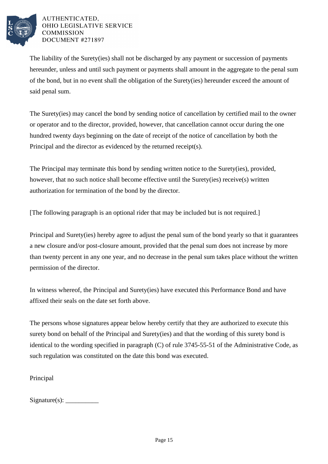

The liability of the Surety(ies) shall not be discharged by any payment or succession of payments hereunder, unless and until such payment or payments shall amount in the aggregate to the penal sum of the bond, but in no event shall the obligation of the Surety(ies) hereunder exceed the amount of said penal sum.

The Surety(ies) may cancel the bond by sending notice of cancellation by certified mail to the owner or operator and to the director, provided, however, that cancellation cannot occur during the one hundred twenty days beginning on the date of receipt of the notice of cancellation by both the Principal and the director as evidenced by the returned receipt(s).

The Principal may terminate this bond by sending written notice to the Surety(ies), provided, however, that no such notice shall become effective until the Surety(ies) receive(s) written authorization for termination of the bond by the director.

[The following paragraph is an optional rider that may be included but is not required.]

Principal and Surety(ies) hereby agree to adjust the penal sum of the bond yearly so that it guarantees a new closure and/or post-closure amount, provided that the penal sum does not increase by more than twenty percent in any one year, and no decrease in the penal sum takes place without the written permission of the director.

In witness whereof, the Principal and Surety(ies) have executed this Performance Bond and have affixed their seals on the date set forth above.

The persons whose signatures appear below hereby certify that they are authorized to execute this surety bond on behalf of the Principal and Surety(ies) and that the wording of this surety bond is identical to the wording specified in paragraph (C) of rule 3745-55-51 of the Administrative Code, as such regulation was constituted on the date this bond was executed.

Principal

Signature(s): \_\_\_\_\_\_\_\_\_\_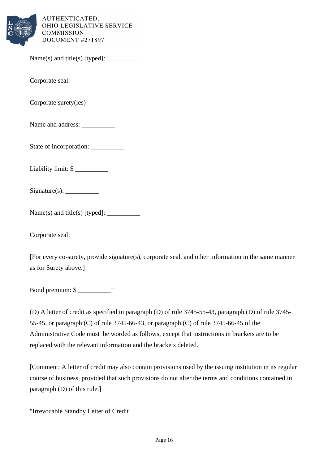

Name(s) and title(s) [typed]: \_\_\_\_\_\_\_\_\_\_

Corporate seal:

Corporate surety(ies)

Name and address:

State of incorporation:

Liability limit: \$

 $Signature(s):$ 

 $Name(s)$  and title(s) [typed]:  $\_\_\_\_\_\_\_\_\_\_\_\_\_\_$ 

Corporate seal:

[For every co-surety, provide signature(s), corporate seal, and other information in the same manner as for Surety above.]

Bond premium: \$ \_\_\_\_\_\_\_\_\_\_"

(D) A letter of credit as specified in paragraph (D) of rule 3745-55-43, paragraph (D) of rule 3745- 55-45, or paragraph (C) of rule 3745-66-43, or paragraph (C) of rule 3745-66-45 of the Administrative Code must be worded as follows, except that instructions in brackets are to be replaced with the relevant information and the brackets deleted.

[Comment: A letter of credit may also contain provisions used by the issuing institution in its regular course of business, provided that such provisions do not alter the terms and conditions contained in paragraph (D) of this rule.]

"Irrevocable Standby Letter of Credit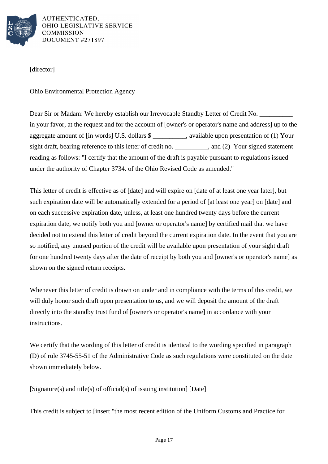

[director]

Ohio Environmental Protection Agency

Dear Sir or Madam: We hereby establish our Irrevocable Standby Letter of Credit No. in your favor, at the request and for the account of [owner's or operator's name and address] up to the aggregate amount of [in words] U.S. dollars \$ \_\_\_\_\_\_\_\_\_\_, available upon presentation of (1) Your sight draft, bearing reference to this letter of credit no. \_\_\_\_\_\_\_\_\_, and (2) Your signed statement reading as follows: "I certify that the amount of the draft is payable pursuant to regulations issued under the authority of Chapter 3734. of the Ohio Revised Code as amended."

This letter of credit is effective as of [date] and will expire on [date of at least one year later], but such expiration date will be automatically extended for a period of [at least one year] on [date] and on each successive expiration date, unless, at least one hundred twenty days before the current expiration date, we notify both you and [owner or operator's name] by certified mail that we have decided not to extend this letter of credit beyond the current expiration date. In the event that you are so notified, any unused portion of the credit will be available upon presentation of your sight draft for one hundred twenty days after the date of receipt by both you and [owner's or operator's name] as shown on the signed return receipts.

Whenever this letter of credit is drawn on under and in compliance with the terms of this credit, we will duly honor such draft upon presentation to us, and we will deposit the amount of the draft directly into the standby trust fund of [owner's or operator's name] in accordance with your instructions.

We certify that the wording of this letter of credit is identical to the wording specified in paragraph (D) of rule 3745-55-51 of the Administrative Code as such regulations were constituted on the date shown immediately below.

[Signature(s) and title(s) of official(s) of issuing institution] [Date]

This credit is subject to [insert "the most recent edition of the Uniform Customs and Practice for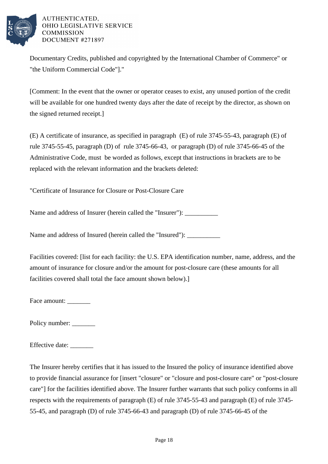

Documentary Credits, published and copyrighted by the International Chamber of Commerce" or "the Uniform Commercial Code"]."

[Comment: In the event that the owner or operator ceases to exist, any unused portion of the credit will be available for one hundred twenty days after the date of receipt by the director, as shown on the signed returned receipt.]

(E) A certificate of insurance, as specified in paragraph (E) of rule 3745-55-43, paragraph (E) of rule 3745-55-45, paragraph (D) of rule 3745-66-43, or paragraph (D) of rule 3745-66-45 of the Administrative Code, must be worded as follows, except that instructions in brackets are to be replaced with the relevant information and the brackets deleted:

"Certificate of Insurance for Closure or Post-Closure Care

Name and address of Insurer (herein called the "Insurer"): \_\_\_\_\_\_\_\_\_\_\_\_\_\_\_\_\_\_\_\_\_

Name and address of Insured (herein called the "Insured"):

Facilities covered: [list for each facility: the U.S. EPA identification number, name, address, and the amount of insurance for closure and/or the amount for post-closure care (these amounts for all facilities covered shall total the face amount shown below).]

Face amount:

Policy number: \_\_\_\_\_\_\_

Effective date: \_\_\_\_\_\_\_

The Insurer hereby certifies that it has issued to the Insured the policy of insurance identified above to provide financial assurance for [insert "closure" or "closure and post-closure care" or "post-closure care"] for the facilities identified above. The Insurer further warrants that such policy conforms in all respects with the requirements of paragraph (E) of rule 3745-55-43 and paragraph (E) of rule 3745- 55-45, and paragraph (D) of rule 3745-66-43 and paragraph (D) of rule 3745-66-45 of the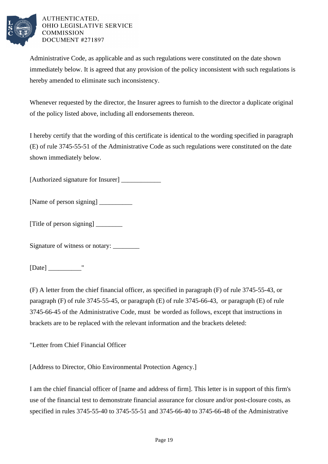

Administrative Code, as applicable and as such regulations were constituted on the date shown immediately below. It is agreed that any provision of the policy inconsistent with such regulations is hereby amended to eliminate such inconsistency.

Whenever requested by the director, the Insurer agrees to furnish to the director a duplicate original of the policy listed above, including all endorsements thereon.

I hereby certify that the wording of this certificate is identical to the wording specified in paragraph (E) of rule 3745-55-51 of the Administrative Code as such regulations were constituted on the date shown immediately below.

[Authorized signature for Insurer] \_\_\_\_\_\_\_\_\_\_\_\_

[Name of person signing] \_\_\_\_\_\_\_\_\_\_

[Title of person signing] \_\_\_\_\_\_\_\_

Signature of witness or notary:

[Date]  $\blacksquare$ 

(F) A letter from the chief financial officer, as specified in paragraph (F) of rule 3745-55-43, or paragraph (F) of rule 3745-55-45, or paragraph (E) of rule 3745-66-43, or paragraph (E) of rule 3745-66-45 of the Administrative Code, must be worded as follows, except that instructions in brackets are to be replaced with the relevant information and the brackets deleted:

"Letter from Chief Financial Officer

[Address to Director, Ohio Environmental Protection Agency.]

I am the chief financial officer of [name and address of firm]. This letter is in support of this firm's use of the financial test to demonstrate financial assurance for closure and/or post-closure costs, as specified in rules 3745-55-40 to 3745-55-51 and 3745-66-40 to 3745-66-48 of the Administrative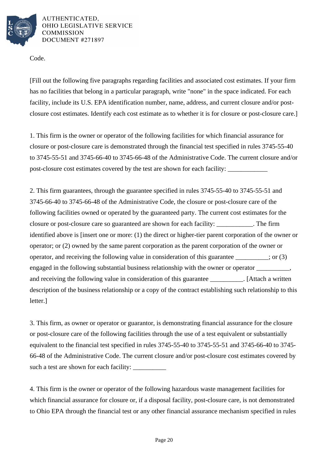

Code.

[Fill out the following five paragraphs regarding facilities and associated cost estimates. If your firm has no facilities that belong in a particular paragraph, write "none" in the space indicated. For each facility, include its U.S. EPA identification number, name, address, and current closure and/or postclosure cost estimates. Identify each cost estimate as to whether it is for closure or post-closure care.]

1. This firm is the owner or operator of the following facilities for which financial assurance for closure or post-closure care is demonstrated through the financial test specified in rules 3745-55-40 to 3745-55-51 and 3745-66-40 to 3745-66-48 of the Administrative Code. The current closure and/or post-closure cost estimates covered by the test are shown for each facility:

2. This firm guarantees, through the guarantee specified in rules 3745-55-40 to 3745-55-51 and 3745-66-40 to 3745-66-48 of the Administrative Code, the closure or post-closure care of the following facilities owned or operated by the guaranteed party. The current cost estimates for the closure or post-closure care so guaranteed are shown for each facility: \_\_\_\_\_\_\_\_\_\_\_. The firm identified above is [insert one or more: (1) the direct or higher-tier parent corporation of the owner or operator; or (2) owned by the same parent corporation as the parent corporation of the owner or operator, and receiving the following value in consideration of this guarantee  $\cdot$ ; or (3) engaged in the following substantial business relationship with the owner or operator  $\frac{1}{\sqrt{1-\frac{1}{\sqrt{1-\frac{1}{\sqrt{1-\frac{1}{\sqrt{1-\frac{1}{\sqrt{1-\frac{1}{\sqrt{1-\frac{1}{\sqrt{1-\frac{1}{\sqrt{1-\frac{1}{\sqrt{1-\frac{1}{\sqrt{1-\frac{1}{\sqrt{1-\frac{1}{\sqrt{1-\frac{1}{\sqrt{1-\frac{1}{\sqrt{1-\frac{1}{\sqrt{1$ and receiving the following value in consideration of this guarantee \_\_\_\_\_\_\_\_\_\_. [Attach a written description of the business relationship or a copy of the contract establishing such relationship to this letter.]

3. This firm, as owner or operator or guarantor, is demonstrating financial assurance for the closure or post-closure care of the following facilities through the use of a test equivalent or substantially equivalent to the financial test specified in rules 3745-55-40 to 3745-55-51 and 3745-66-40 to 3745- 66-48 of the Administrative Code. The current closure and/or post-closure cost estimates covered by such a test are shown for each facility: \_\_\_\_\_\_\_\_\_\_

4. This firm is the owner or operator of the following hazardous waste management facilities for which financial assurance for closure or, if a disposal facility, post-closure care, is not demonstrated to Ohio EPA through the financial test or any other financial assurance mechanism specified in rules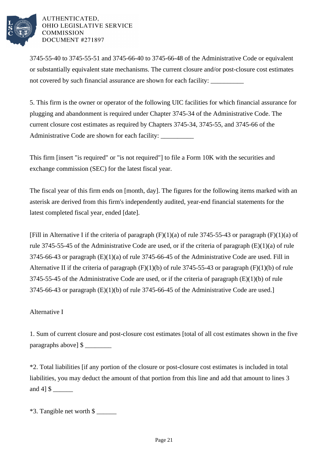

3745-55-40 to 3745-55-51 and 3745-66-40 to 3745-66-48 of the Administrative Code or equivalent or substantially equivalent state mechanisms. The current closure and/or post-closure cost estimates not covered by such financial assurance are shown for each facility:

5. This firm is the owner or operator of the following UIC facilities for which financial assurance for plugging and abandonment is required under Chapter 3745-34 of the Administrative Code. The current closure cost estimates as required by Chapters 3745-34, 3745-55, and 3745-66 of the Administrative Code are shown for each facility:

This firm [insert "is required" or "is not required"] to file a Form 10K with the securities and exchange commission (SEC) for the latest fiscal year.

The fiscal year of this firm ends on [month, day]. The figures for the following items marked with an asterisk are derived from this firm's independently audited, year-end financial statements for the latest completed fiscal year, ended [date].

[Fill in Alternative I if the criteria of paragraph  $(F)(1)(a)$  of rule 3745-55-43 or paragraph  $(F)(1)(a)$  of rule 3745-55-45 of the Administrative Code are used, or if the criteria of paragraph (E)(1)(a) of rule 3745-66-43 or paragraph (E)(1)(a) of rule 3745-66-45 of the Administrative Code are used. Fill in Alternative II if the criteria of paragraph  $(F)(1)(b)$  of rule 3745-55-43 or paragraph  $(F)(1)(b)$  of rule 3745-55-45 of the Administrative Code are used, or if the criteria of paragraph (E)(1)(b) of rule 3745-66-43 or paragraph (E)(1)(b) of rule 3745-66-45 of the Administrative Code are used.]

# Alternative I

1. Sum of current closure and post-closure cost estimates [total of all cost estimates shown in the five paragraphs above] \$

\*2. Total liabilities [if any portion of the closure or post-closure cost estimates is included in total liabilities, you may deduct the amount of that portion from this line and add that amount to lines 3 and 4] \$ \_\_\_\_\_\_

 $*3$ . Tangible net worth \$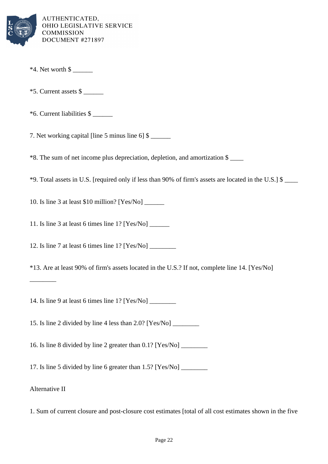

- $*4.$  Net worth  $\frac{1}{2}$
- $*$ 5. Current assets \$
- \*6. Current liabilities \$ \_\_\_\_\_\_

7. Net working capital [line 5 minus line  $6$ ] \$

\*8. The sum of net income plus depreciation, depletion, and amortization \$ \_\_\_\_

\*9. Total assets in U.S. [required only if less than 90% of firm's assets are located in the U.S.] \$ \_\_\_\_

10. Is line 3 at least \$10 million? [Yes/No] \_\_\_\_\_\_

11. Is line 3 at least 6 times line 1? [Yes/No] \_\_\_\_\_\_

12. Is line 7 at least 6 times line 1? [Yes/No] \_\_\_\_\_\_\_\_

\*13. Are at least 90% of firm's assets located in the U.S.? If not, complete line 14. [Yes/No]

14. Is line 9 at least 6 times line 1? [Yes/No] \_\_\_\_\_\_\_\_

15. Is line 2 divided by line 4 less than 2.0? [Yes/No] \_\_\_\_\_\_\_\_

16. Is line 8 divided by line 2 greater than 0.1? [Yes/No] \_\_\_\_\_\_\_\_

17. Is line 5 divided by line 6 greater than 1.5? [Yes/No] \_\_\_\_\_\_\_\_

Alternative II

\_\_\_\_\_\_\_\_

1. Sum of current closure and post-closure cost estimates [total of all cost estimates shown in the five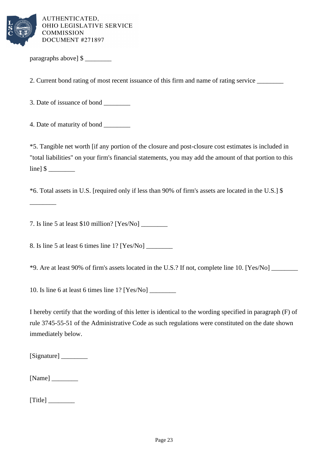

paragraphs above] \$

2. Current bond rating of most recent issuance of this firm and name of rating service

3. Date of issuance of bond

4. Date of maturity of bond \_\_\_\_\_\_\_\_

\*5. Tangible net worth [if any portion of the closure and post-closure cost estimates is included in "total liabilities" on your firm's financial statements, you may add the amount of that portion to this  $line \$   $\$ 

\*6. Total assets in U.S. [required only if less than 90% of firm's assets are located in the U.S.] \$

7. Is line 5 at least \$10 million? [Yes/No] \_\_\_\_\_\_\_\_

8. Is line 5 at least 6 times line 1? [Yes/No]

\*9. Are at least 90% of firm's assets located in the U.S.? If not, complete line 10. [Yes/No] \_\_\_\_\_\_\_\_

10. Is line 6 at least 6 times line 1? [Yes/No] \_\_\_\_\_\_\_\_

I hereby certify that the wording of this letter is identical to the wording specified in paragraph (F) of rule 3745-55-51 of the Administrative Code as such regulations were constituted on the date shown immediately below.

[Signature] \_\_\_\_\_\_\_\_

\_\_\_\_\_\_\_\_

 $[Name]$ 

 $[Title]$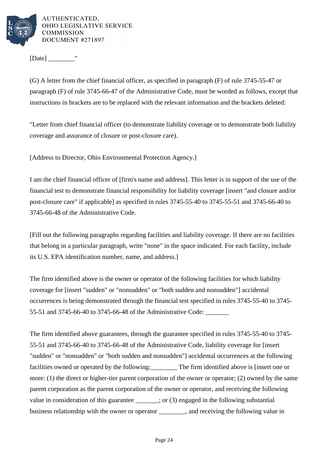

[Date]  $\blacksquare$ 

(G) A letter from the chief financial officer, as specified in paragraph (F) of rule 3745-55-47 or paragraph (F) of rule 3745-66-47 of the Administrative Code, must be worded as follows, except that instructions in brackets are to be replaced with the relevant information and the brackets deleted:

"Letter from chief financial officer (to demonstrate liability coverage or to demonstrate both liability coverage and assurance of closure or post-closure care).

[Address to Director, Ohio Environmental Protection Agency.]

I am the chief financial officer of [firm's name and address]. This letter is in support of the use of the financial test to demonstrate financial responsibility for liability coverage [insert "and closure and/or post-closure care" if applicable] as specified in rules 3745-55-40 to 3745-55-51 and 3745-66-40 to 3745-66-48 of the Administrative Code.

[Fill out the following paragraphs regarding facilities and liability coverage. If there are no facilities that belong in a particular paragraph, write "none" in the space indicated. For each facility, include its U.S. EPA identification number, name, and address.]

The firm identified above is the owner or operator of the following facilities for which liability coverage for [insert "sudden" or "nonsudden" or "both sudden and nonsudden"] accidental occurrences is being demonstrated through the financial test specified in rules 3745-55-40 to 3745- 55-51 and 3745-66-40 to 3745-66-48 of the Administrative Code: \_\_\_\_\_\_\_

The firm identified above guarantees, through the guarantee specified in rules 3745-55-40 to 3745- 55-51 and 3745-66-40 to 3745-66-48 of the Administrative Code, liability coverage for [insert "sudden" or "nonsudden" or "both sudden and nonsudden"] accidental occurrences at the following facilities owned or operated by the following: The firm identified above is [insert one or more: (1) the direct or higher-tier parent corporation of the owner or operator; (2) owned by the same parent corporation as the parent corporation of the owner or operator, and receiving the following value in consideration of this guarantee \_\_\_\_\_; or (3) engaged in the following substantial business relationship with the owner or operator and receiving the following value in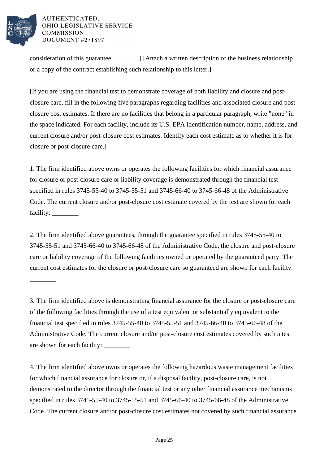

\_\_\_\_\_\_\_\_

## AUTHENTICATED. OHIO LEGISLATIVE SERVICE **COMMISSION** DOCUMENT #271897

consideration of this guarantee  $\blacksquare$  [Attach a written description of the business relationship or a copy of the contract establishing such relationship to this letter.]

[If you are using the financial test to demonstrate coverage of both liability and closure and postclosure care, fill in the following five paragraphs regarding facilities and associated closure and postclosure cost estimates. If there are no facilities that belong in a particular paragraph, write "none" in the space indicated. For each facility, include its U.S. EPA identification number, name, address, and current closure and/or post-closure cost estimates. Identify each cost estimate as to whether it is for closure or post-closure care.]

1. The firm identified above owns or operates the following facilities for which financial assurance for closure or post-closure care or liability coverage is demonstrated through the financial test specified in rules 3745-55-40 to 3745-55-51 and 3745-66-40 to 3745-66-48 of the Administrative Code. The current closure and/or post-closure cost estimate covered by the test are shown for each facility: \_\_\_\_\_\_\_\_

2. The firm identified above guarantees, through the guarantee specified in rules 3745-55-40 to 3745-55-51 and 3745-66-40 to 3745-66-48 of the Administrative Code, the closure and post-closure care or liability coverage of the following facilities owned or operated by the guaranteed party. The current cost estimates for the closure or post-closure care so guaranteed are shown for each facility:

3. The firm identified above is demonstrating financial assurance for the closure or post-closure care of the following facilities through the use of a test equivalent or substantially equivalent to the financial test specified in rules 3745-55-40 to 3745-55-51 and 3745-66-40 to 3745-66-48 of the Administrative Code. The current closure and/or post-closure cost estimates covered by such a test are shown for each facility: \_\_\_\_\_\_\_\_

4. The firm identified above owns or operates the following hazardous waste management facilities for which financial assurance for closure or, if a disposal facility, post-closure care, is not demonstrated to the director through the financial test or any other financial assurance mechanisms specified in rules 3745-55-40 to 3745-55-51 and 3745-66-40 to 3745-66-48 of the Administrative Code. The current closure and/or post-closure cost estimates not covered by such financial assurance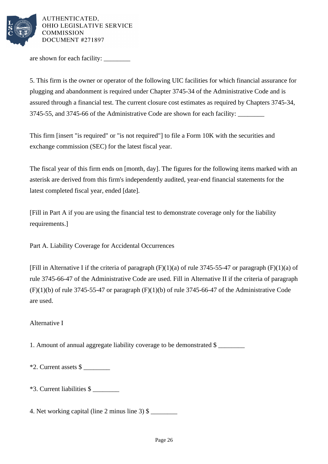

are shown for each facility:

5. This firm is the owner or operator of the following UIC facilities for which financial assurance for plugging and abandonment is required under Chapter 3745-34 of the Administrative Code and is assured through a financial test. The current closure cost estimates as required by Chapters 3745-34, 3745-55, and 3745-66 of the Administrative Code are shown for each facility: \_\_\_\_\_\_\_\_

This firm [insert "is required" or "is not required"] to file a Form 10K with the securities and exchange commission (SEC) for the latest fiscal year.

The fiscal year of this firm ends on [month, day]. The figures for the following items marked with an asterisk are derived from this firm's independently audited, year-end financial statements for the latest completed fiscal year, ended [date].

[Fill in Part A if you are using the financial test to demonstrate coverage only for the liability requirements.]

Part A. Liability Coverage for Accidental Occurrences

[Fill in Alternative I if the criteria of paragraph  $(F)(1)(a)$  of rule 3745-55-47 or paragraph  $(F)(1)(a)$  of rule 3745-66-47 of the Administrative Code are used. Fill in Alternative II if the criteria of paragraph  $(F)(1)(b)$  of rule 3745-55-47 or paragraph  $(F)(1)(b)$  of rule 3745-66-47 of the Administrative Code are used.

Alternative I

1. Amount of annual aggregate liability coverage to be demonstrated \$ \_\_\_\_\_\_\_\_

 $*2$ . Current assets  $\frac{1}{2}$ 

\*3. Current liabilities \$ \_\_\_\_\_\_\_\_

4. Net working capital (line 2 minus line 3)  $\$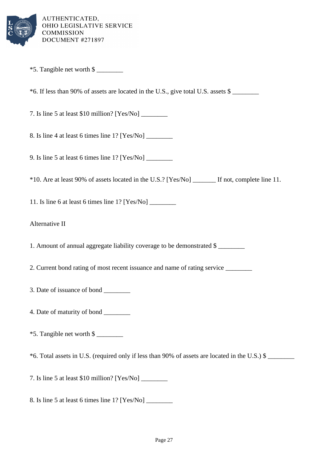

 $*5$ . Tangible net worth \$

 $*6$ . If less than 90% of assets are located in the U.S., give total U.S. assets  $\frac{1}{2}$ 

7. Is line 5 at least \$10 million? [Yes/No] \_\_\_\_\_\_\_\_

8. Is line 4 at least 6 times line 1? [Yes/No] \_\_\_\_\_\_\_\_

9. Is line 5 at least 6 times line 1? [Yes/No] \_\_\_\_\_\_\_\_

\*10. Are at least 90% of assets located in the U.S.? [Yes/No] \_\_\_\_\_\_\_ If not, complete line 11.

11. Is line 6 at least 6 times line  $1$ ? [Yes/No]

Alternative II

1. Amount of annual aggregate liability coverage to be demonstrated \$ \_\_\_\_\_\_\_\_

2. Current bond rating of most recent issuance and name of rating service \_\_\_\_\_\_\_\_

3. Date of issuance of bond \_\_\_\_\_\_\_\_

4. Date of maturity of bond \_\_\_\_\_\_\_\_

\*5. Tangible net worth \$ \_\_\_\_\_\_\_\_

\*6. Total assets in U.S. (required only if less than 90% of assets are located in the U.S.) \$ \_\_\_\_\_\_\_\_

7. Is line 5 at least \$10 million? [Yes/No] \_\_\_\_\_\_\_\_

8. Is line 5 at least 6 times line 1? [Yes/No] \_\_\_\_\_\_\_\_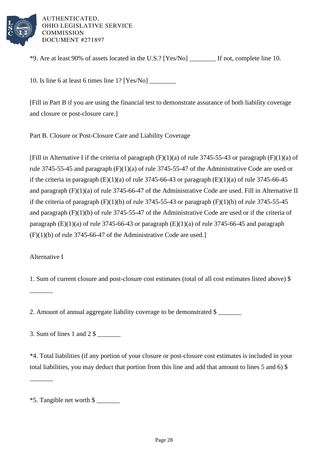

\*9. Are at least 90% of assets located in the U.S.? [Yes/No] \_\_\_\_\_\_\_\_ If not, complete line 10.

10. Is line 6 at least 6 times line 1? [Yes/No] \_\_\_\_\_\_\_\_

[Fill in Part B if you are using the financial test to demonstrate assurance of both liability coverage and closure or post-closure care.]

Part B. Closure or Post-Closure Care and Liability Coverage

[Fill in Alternative I if the criteria of paragraph  $(F)(1)(a)$  of rule 3745-55-43 or paragraph  $(F)(1)(a)$  of rule 3745-55-45 and paragraph (F)(1)(a) of rule 3745-55-47 of the Administrative Code are used or if the criteria in paragraph  $(E)(1)(a)$  of rule 3745-66-43 or paragraph  $(E)(1)(a)$  of rule 3745-66-45 and paragraph (F)(1)(a) of rule 3745-66-47 of the Administrative Code are used. Fill in Alternative II if the criteria of paragraph  $(F)(1)(b)$  of rule 3745-55-43 or paragraph  $(F)(1)(b)$  of rule 3745-55-45 and paragraph (F)(1)(b) of rule 3745-55-47 of the Administrative Code are used or if the criteria of paragraph  $(E)(1)(a)$  of rule 3745-66-43 or paragraph  $(E)(1)(a)$  of rule 3745-66-45 and paragraph (F)(1)(b) of rule 3745-66-47 of the Administrative Code are used.]

Alternative I

\_\_\_\_\_\_\_

\_\_\_\_\_\_\_

1. Sum of current closure and post-closure cost estimates (total of all cost estimates listed above) \$

2. Amount of annual aggregate liability coverage to be demonstrated \$

3. Sum of lines 1 and 2 \$ \_\_\_\_\_\_\_

\*4. Total liabilities (if any portion of your closure or post-closure cost estimates is included in your total liabilities, you may deduct that portion from this line and add that amount to lines 5 and 6) \$

<sup>\*5.</sup> Tangible net worth \$ \_\_\_\_\_\_\_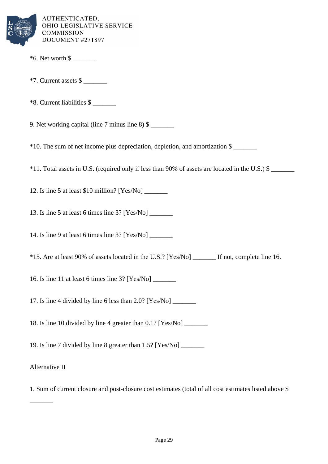

- $*6.$  Net worth \$
- $*7.$  Current assets  $\frac{1}{2}$
- \*8. Current liabilities \$ \_\_\_\_\_\_\_

9. Net working capital (line  $7$  minus line  $8$ )  $\$$ 

\*10. The sum of net income plus depreciation, depletion, and amortization \$ \_\_\_\_\_\_\_

\*11. Total assets in U.S. (required only if less than 90% of assets are located in the U.S.) \$ \_\_\_\_\_\_\_

12. Is line 5 at least \$10 million? [Yes/No] \_\_\_\_\_\_\_

13. Is line 5 at least 6 times line 3? [Yes/No] \_\_\_\_\_\_\_

14. Is line 9 at least 6 times line 3? [Yes/No] \_\_\_\_\_\_\_

\*15. Are at least 90% of assets located in the U.S.? [Yes/No] \_\_\_\_\_\_\_ If not, complete line 16.

16. Is line 11 at least 6 times line 3? [Yes/No] \_\_\_\_\_\_\_

17. Is line 4 divided by line 6 less than 2.0? [Yes/No] \_\_\_\_\_\_\_

18. Is line 10 divided by line 4 greater than  $0.1$ ? [Yes/No]

19. Is line 7 divided by line 8 greater than 1.5? [Yes/No] \_\_\_\_\_\_\_

Alternative II

 $\overline{\phantom{a}}$ 

1. Sum of current closure and post-closure cost estimates (total of all cost estimates listed above \$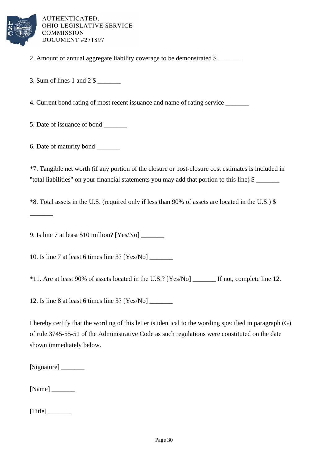

- 2. Amount of annual aggregate liability coverage to be demonstrated \$
- 3. Sum of lines 1 and 2 \$ \_\_\_\_\_\_\_

4. Current bond rating of most recent issuance and name of rating service

5. Date of issuance of bond

6. Date of maturity bond \_\_\_\_\_\_\_

 $\overline{\phantom{a}}$ 

\*7. Tangible net worth (if any portion of the closure or post-closure cost estimates is included in "total liabilities" on your financial statements you may add that portion to this line) \$ \_\_\_\_\_\_\_

\*8. Total assets in the U.S. (required only if less than 90% of assets are located in the U.S.) \$

9. Is line 7 at least \$10 million? [Yes/No] \_\_\_\_\_\_\_

10. Is line 7 at least 6 times line 3? [Yes/No] \_\_\_\_\_\_\_

\*11. Are at least 90% of assets located in the U.S.? [Yes/No] \_\_\_\_\_\_\_ If not, complete line 12.

12. Is line 8 at least 6 times line 3? [Yes/No] \_\_\_\_\_\_\_

I hereby certify that the wording of this letter is identical to the wording specified in paragraph (G) of rule 3745-55-51 of the Administrative Code as such regulations were constituted on the date shown immediately below.

[Signature] \_\_\_\_\_\_\_

[Name]

 $[Title]$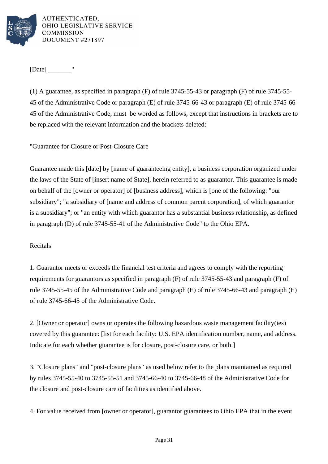

 $[Date]$  "

(1) A guarantee, as specified in paragraph (F) of rule 3745-55-43 or paragraph (F) of rule 3745-55- 45 of the Administrative Code or paragraph (E) of rule 3745-66-43 or paragraph (E) of rule 3745-66- 45 of the Administrative Code, must be worded as follows, except that instructions in brackets are to be replaced with the relevant information and the brackets deleted:

"Guarantee for Closure or Post-Closure Care

Guarantee made this [date] by [name of guaranteeing entity], a business corporation organized under the laws of the State of [insert name of State], herein referred to as guarantor. This guarantee is made on behalf of the [owner or operator] of [business address], which is [one of the following: "our subsidiary"; "a subsidiary of [name and address of common parent corporation], of which guarantor is a subsidiary"; or "an entity with which guarantor has a substantial business relationship, as defined in paragraph (D) of rule 3745-55-41 of the Administrative Code" to the Ohio EPA.

# Recitals

1. Guarantor meets or exceeds the financial test criteria and agrees to comply with the reporting requirements for guarantors as specified in paragraph (F) of rule 3745-55-43 and paragraph (F) of rule 3745-55-45 of the Administrative Code and paragraph (E) of rule 3745-66-43 and paragraph (E) of rule 3745-66-45 of the Administrative Code.

2. [Owner or operator] owns or operates the following hazardous waste management facility(ies) covered by this guarantee: [list for each facility: U.S. EPA identification number, name, and address. Indicate for each whether guarantee is for closure, post-closure care, or both.

3. "Closure plans" and "post-closure plans" as used below refer to the plans maintained as required by rules 3745-55-40 to 3745-55-51 and 3745-66-40 to 3745-66-48 of the Administrative Code for the closure and post-closure care of facilities as identified above.

4. For value received from [owner or operator], guarantor guarantees to Ohio EPA that in the event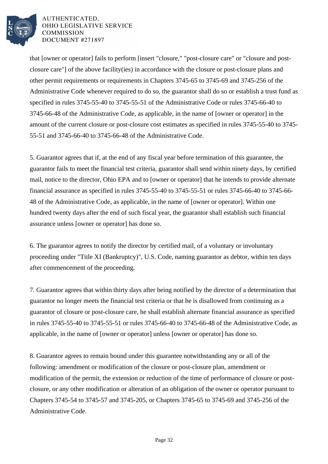

that [owner or operator] fails to perform [insert "closure," "post-closure care" or "closure and postclosure care"] of the above facility(ies) in accordance with the closure or post-closure plans and other permit requirements or requirements in Chapters 3745-65 to 3745-69 and 3745-256 of the Administrative Code whenever required to do so, the guarantor shall do so or establish a trust fund as specified in rules 3745-55-40 to 3745-55-51 of the Administrative Code or rules 3745-66-40 to 3745-66-48 of the Administrative Code, as applicable, in the name of [owner or operator] in the amount of the current closure or post-closure cost estimates as specified in rules 3745-55-40 to 3745- 55-51 and 3745-66-40 to 3745-66-48 of the Administrative Code.

5. Guarantor agrees that if, at the end of any fiscal year before termination of this guarantee, the guarantor fails to meet the financial test criteria, guarantor shall send within ninety days, by certified mail, notice to the director, Ohio EPA and to [owner or operator] that he intends to provide alternate financial assurance as specified in rules 3745-55-40 to 3745-55-51 or rules 3745-66-40 to 3745-66- 48 of the Administrative Code, as applicable, in the name of [owner or operator]. Within one hundred twenty days after the end of such fiscal year, the guarantor shall establish such financial assurance unless [owner or operator] has done so.

6. The guarantor agrees to notify the director by certified mail, of a voluntary or involuntary proceeding under "Title XI (Bankruptcy)", U.S. Code, naming guarantor as debtor, within ten days after commencement of the proceeding.

7. Guarantor agrees that within thirty days after being notified by the director of a determination that guarantor no longer meets the financial test criteria or that he is disallowed from continuing as a guarantor of closure or post-closure care, he shall establish alternate financial assurance as specified in rules 3745-55-40 to 3745-55-51 or rules 3745-66-40 to 3745-66-48 of the Administrative Code, as applicable, in the name of [owner or operator] unless [owner or operator] has done so.

8. Guarantor agrees to remain bound under this guarantee notwithstanding any or all of the following: amendment or modification of the closure or post-closure plan, amendment or modification of the permit, the extension or reduction of the time of performance of closure or postclosure, or any other modification or alteration of an obligation of the owner or operator pursuant to Chapters 3745-54 to 3745-57 and 3745-205, or Chapters 3745-65 to 3745-69 and 3745-256 of the Administrative Code.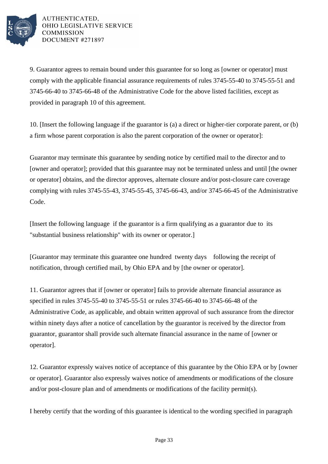

9. Guarantor agrees to remain bound under this guarantee for so long as [owner or operator] must comply with the applicable financial assurance requirements of rules 3745-55-40 to 3745-55-51 and 3745-66-40 to 3745-66-48 of the Administrative Code for the above listed facilities, except as provided in paragraph 10 of this agreement.

10. [Insert the following language if the guarantor is (a) a direct or higher-tier corporate parent, or (b) a firm whose parent corporation is also the parent corporation of the owner or operator]:

Guarantor may terminate this guarantee by sending notice by certified mail to the director and to [owner and operator]; provided that this guarantee may not be terminated unless and until [the owner or operator] obtains, and the director approves, alternate closure and/or post-closure care coverage complying with rules 3745-55-43, 3745-55-45, 3745-66-43, and/or 3745-66-45 of the Administrative Code.

[Insert the following language if the guarantor is a firm qualifying as a guarantor due to its "substantial business relationship" with its owner or operator.]

[Guarantor may terminate this guarantee one hundred twenty days following the receipt of notification, through certified mail, by Ohio EPA and by [the owner or operator].

11. Guarantor agrees that if [owner or operator] fails to provide alternate financial assurance as specified in rules 3745-55-40 to 3745-55-51 or rules 3745-66-40 to 3745-66-48 of the Administrative Code, as applicable, and obtain written approval of such assurance from the director within ninety days after a notice of cancellation by the guarantor is received by the director from guarantor, guarantor shall provide such alternate financial assurance in the name of [owner or operator].

12. Guarantor expressly waives notice of acceptance of this guarantee by the Ohio EPA or by [owner or operator]. Guarantor also expressly waives notice of amendments or modifications of the closure and/or post-closure plan and of amendments or modifications of the facility permit(s).

I hereby certify that the wording of this guarantee is identical to the wording specified in paragraph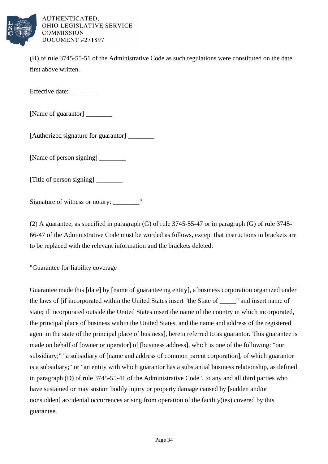

(H) of rule 3745-55-51 of the Administrative Code as such regulations were constituted on the date first above written.

Effective date: \_\_\_\_\_\_\_\_\_

[Name of guarantor] \_\_\_\_\_\_\_\_

[Authorized signature for guarantor] \_\_\_\_\_\_\_\_

[Name of person signing] \_\_\_\_\_\_\_\_

[Title of person signing] \_\_\_\_\_\_\_\_

Signature of witness or notary:

(2) A guarantee, as specified in paragraph (G) of rule 3745-55-47 or in paragraph (G) of rule 3745- 66-47 of the Administrative Code must be worded as follows, except that instructions in brackets are to be replaced with the relevant information and the brackets deleted:

"Guarantee for liability coverage

Guarantee made this [date] by [name of guaranteeing entity], a business corporation organized under the laws of [if incorporated within the United States insert "the State of \_\_\_\_\_" and insert name of state; if incorporated outside the United States insert the name of the country in which incorporated, the principal place of business within the United States, and the name and address of the registered agent in the state of the principal place of business], herein referred to as guarantor. This guarantee is made on behalf of [owner or operator] of [business address], which is one of the following: "our subsidiary;" "a subsidiary of [name and address of common parent corporation], of which guarantor is a subsidiary;" or "an entity with which guarantor has a substantial business relationship, as defined in paragraph (D) of rule 3745-55-41 of the Administrative Code", to any and all third parties who have sustained or may sustain bodily injury or property damage caused by [sudden and/or nonsudden] accidental occurrences arising from operation of the facility(ies) covered by this guarantee.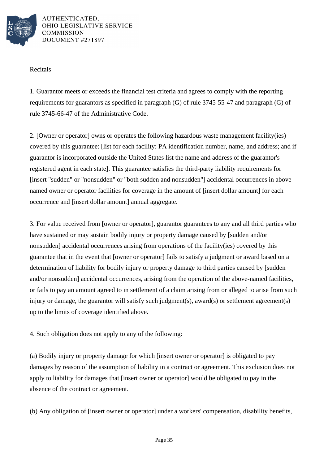

## Recitals

1. Guarantor meets or exceeds the financial test criteria and agrees to comply with the reporting requirements for guarantors as specified in paragraph (G) of rule 3745-55-47 and paragraph (G) of rule 3745-66-47 of the Administrative Code.

2. [Owner or operator] owns or operates the following hazardous waste management facility(ies) covered by this guarantee: [list for each facility: PA identification number, name, and address; and if guarantor is incorporated outside the United States list the name and address of the guarantor's registered agent in each state]. This guarantee satisfies the third-party liability requirements for [insert "sudden" or "nonsudden" or "both sudden and nonsudden"] accidental occurrences in abovenamed owner or operator facilities for coverage in the amount of [insert dollar amount] for each occurrence and [insert dollar amount] annual aggregate.

3. For value received from [owner or operator], guarantor guarantees to any and all third parties who have sustained or may sustain bodily injury or property damage caused by [sudden and/or nonsudden] accidental occurrences arising from operations of the facility(ies) covered by this guarantee that in the event that [owner or operator] fails to satisfy a judgment or award based on a determination of liability for bodily injury or property damage to third parties caused by [sudden and/or nonsudden] accidental occurrences, arising from the operation of the above-named facilities, or fails to pay an amount agreed to in settlement of a claim arising from or alleged to arise from such injury or damage, the guarantor will satisfy such judgment(s), award(s) or settlement agreement(s) up to the limits of coverage identified above.

4. Such obligation does not apply to any of the following:

(a) Bodily injury or property damage for which [insert owner or operator] is obligated to pay damages by reason of the assumption of liability in a contract or agreement. This exclusion does not apply to liability for damages that [insert owner or operator] would be obligated to pay in the absence of the contract or agreement.

(b) Any obligation of [insert owner or operator] under a workers' compensation, disability benefits,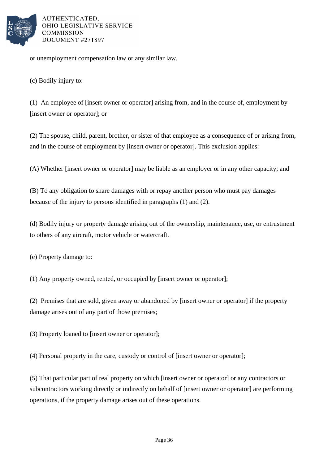

or unemployment compensation law or any similar law.

(c) Bodily injury to:

(1) An employee of [insert owner or operator] arising from, and in the course of, employment by [insert owner or operator]; or

(2) The spouse, child, parent, brother, or sister of that employee as a consequence of or arising from, and in the course of employment by [insert owner or operator]. This exclusion applies:

(A) Whether [insert owner or operator] may be liable as an employer or in any other capacity; and

(B) To any obligation to share damages with or repay another person who must pay damages because of the injury to persons identified in paragraphs (1) and (2).

(d) Bodily injury or property damage arising out of the ownership, maintenance, use, or entrustment to others of any aircraft, motor vehicle or watercraft.

(e) Property damage to:

(1) Any property owned, rented, or occupied by [insert owner or operator];

(2) Premises that are sold, given away or abandoned by [insert owner or operator] if the property damage arises out of any part of those premises;

(3) Property loaned to [insert owner or operator];

(4) Personal property in the care, custody or control of [insert owner or operator];

(5) That particular part of real property on which [insert owner or operator] or any contractors or subcontractors working directly or indirectly on behalf of [insert owner or operator] are performing operations, if the property damage arises out of these operations.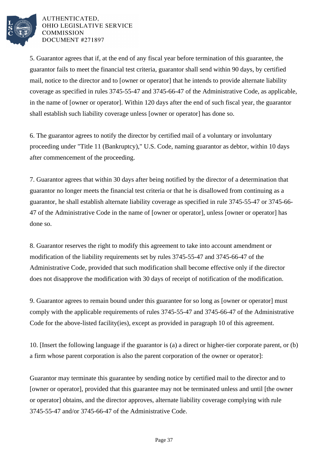

5. Guarantor agrees that if, at the end of any fiscal year before termination of this guarantee, the guarantor fails to meet the financial test criteria, guarantor shall send within 90 days, by certified mail, notice to the director and to [owner or operator] that he intends to provide alternate liability coverage as specified in rules 3745-55-47 and 3745-66-47 of the Administrative Code, as applicable, in the name of [owner or operator]. Within 120 days after the end of such fiscal year, the guarantor shall establish such liability coverage unless [owner or operator] has done so.

6. The guarantor agrees to notify the director by certified mail of a voluntary or involuntary proceeding under "Title 11 (Bankruptcy)," U.S. Code, naming guarantor as debtor, within 10 days after commencement of the proceeding.

7. Guarantor agrees that within 30 days after being notified by the director of a determination that guarantor no longer meets the financial test criteria or that he is disallowed from continuing as a guarantor, he shall establish alternate liability coverage as specified in rule 3745-55-47 or 3745-66- 47 of the Administrative Code in the name of [owner or operator], unless [owner or operator] has done so.

8. Guarantor reserves the right to modify this agreement to take into account amendment or modification of the liability requirements set by rules 3745-55-47 and 3745-66-47 of the Administrative Code, provided that such modification shall become effective only if the director does not disapprove the modification with 30 days of receipt of notification of the modification.

9. Guarantor agrees to remain bound under this guarantee for so long as [owner or operator] must comply with the applicable requirements of rules 3745-55-47 and 3745-66-47 of the Administrative Code for the above-listed facility(ies), except as provided in paragraph 10 of this agreement.

10. [Insert the following language if the guarantor is (a) a direct or higher-tier corporate parent, or (b) a firm whose parent corporation is also the parent corporation of the owner or operator]:

Guarantor may terminate this guarantee by sending notice by certified mail to the director and to [owner or operator], provided that this guarantee may not be terminated unless and until [the owner or operator] obtains, and the director approves, alternate liability coverage complying with rule 3745-55-47 and/or 3745-66-47 of the Administrative Code.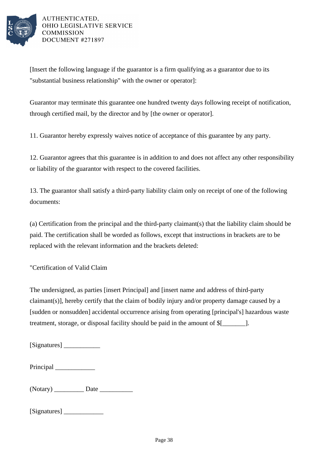

[Insert the following language if the guarantor is a firm qualifying as a guarantor due to its "substantial business relationship" with the owner or operator]:

Guarantor may terminate this guarantee one hundred twenty days following receipt of notification, through certified mail, by the director and by [the owner or operator].

11. Guarantor hereby expressly waives notice of acceptance of this guarantee by any party.

12. Guarantor agrees that this guarantee is in addition to and does not affect any other responsibility or liability of the guarantor with respect to the covered facilities.

13. The guarantor shall satisfy a third-party liability claim only on receipt of one of the following documents:

(a) Certification from the principal and the third-party claimant(s) that the liability claim should be paid. The certification shall be worded as follows, except that instructions in brackets are to be replaced with the relevant information and the brackets deleted:

"Certification of Valid Claim

The undersigned, as parties [insert Principal] and [insert name and address of third-party claimant(s)], hereby certify that the claim of bodily injury and/or property damage caused by a [sudden or nonsudden] accidental occurrence arising from operating [principal's] hazardous waste treatment, storage, or disposal facility should be paid in the amount of  $$$ [  $\qquad$  ].

[Signatures] \_\_\_\_\_\_\_\_\_\_\_

| Principal |  |
|-----------|--|
|-----------|--|

(Notary) Date

[Signatures] \_\_\_\_\_\_\_\_\_\_\_\_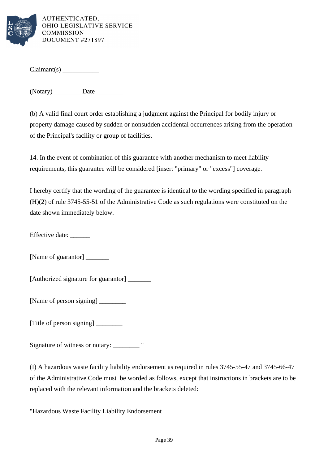

 $Claimant(s)$ 

(Notary) \_\_\_\_\_\_\_\_ Date \_\_\_\_\_\_\_\_

(b) A valid final court order establishing a judgment against the Principal for bodily injury or property damage caused by sudden or nonsudden accidental occurrences arising from the operation of the Principal's facility or group of facilities.

14. In the event of combination of this guarantee with another mechanism to meet liability requirements, this guarantee will be considered [insert "primary" or "excess"] coverage.

I hereby certify that the wording of the guarantee is identical to the wording specified in paragraph (H)(2) of rule 3745-55-51 of the Administrative Code as such regulations were constituted on the date shown immediately below.

Effective date: \_\_\_\_\_\_

[Name of guarantor] \_\_\_\_\_\_\_

[Authorized signature for guarantor] \_\_\_\_\_\_\_\_\_

[Name of person signing] \_\_\_\_\_\_\_\_

[Title of person signing]

Signature of witness or notary: \_\_\_\_\_\_\_\_\_ "

(I) A hazardous waste facility liability endorsement as required in rules 3745-55-47 and 3745-66-47 of the Administrative Code must be worded as follows, except that instructions in brackets are to be replaced with the relevant information and the brackets deleted:

"Hazardous Waste Facility Liability Endorsement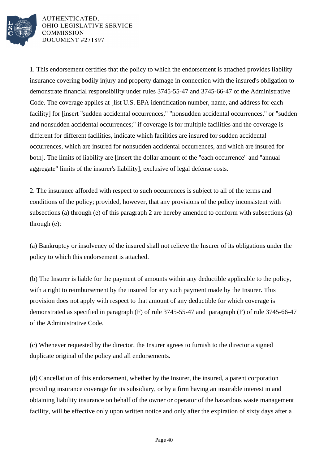

1. This endorsement certifies that the policy to which the endorsement is attached provides liability insurance covering bodily injury and property damage in connection with the insured's obligation to demonstrate financial responsibility under rules 3745-55-47 and 3745-66-47 of the Administrative Code. The coverage applies at [list U.S. EPA identification number, name, and address for each facility] for [insert "sudden accidental occurrences," "nonsudden accidental occurrences," or "sudden and nonsudden accidental occurrences;" if coverage is for multiple facilities and the coverage is different for different facilities, indicate which facilities are insured for sudden accidental occurrences, which are insured for nonsudden accidental occurrences, and which are insured for both]. The limits of liability are [insert the dollar amount of the "each occurrence" and "annual aggregate" limits of the insurer's liability], exclusive of legal defense costs.

2. The insurance afforded with respect to such occurrences is subject to all of the terms and conditions of the policy; provided, however, that any provisions of the policy inconsistent with subsections (a) through (e) of this paragraph 2 are hereby amended to conform with subsections (a) through (e):

(a) Bankruptcy or insolvency of the insured shall not relieve the Insurer of its obligations under the policy to which this endorsement is attached.

(b) The Insurer is liable for the payment of amounts within any deductible applicable to the policy, with a right to reimbursement by the insured for any such payment made by the Insurer. This provision does not apply with respect to that amount of any deductible for which coverage is demonstrated as specified in paragraph (F) of rule 3745-55-47 and paragraph (F) of rule 3745-66-47 of the Administrative Code.

(c) Whenever requested by the director, the Insurer agrees to furnish to the director a signed duplicate original of the policy and all endorsements.

(d) Cancellation of this endorsement, whether by the Insurer, the insured, a parent corporation providing insurance coverage for its subsidiary, or by a firm having an insurable interest in and obtaining liability insurance on behalf of the owner or operator of the hazardous waste management facility, will be effective only upon written notice and only after the expiration of sixty days after a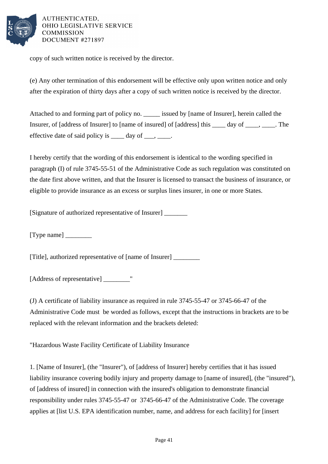

copy of such written notice is received by the director.

(e) Any other termination of this endorsement will be effective only upon written notice and only after the expiration of thirty days after a copy of such written notice is received by the director.

Attached to and forming part of policy no. \_\_\_\_\_ issued by [name of Insurer], herein called the Insurer, of [address of Insurer] to [name of insured] of [address] this day of cases, The effective date of said policy is  $\_\_\_\_\$  day of  $\_\_\_\_\_\$ .

I hereby certify that the wording of this endorsement is identical to the wording specified in paragraph (I) of rule 3745-55-51 of the Administrative Code as such regulation was constituted on the date first above written, and that the Insurer is licensed to transact the business of insurance, or eligible to provide insurance as an excess or surplus lines insurer, in one or more States.

[Signature of authorized representative of Insurer] \_\_\_\_\_\_\_

 $[Type name]$ 

[Title], authorized representative of [name of Insurer] \_\_\_\_\_\_\_\_

[Address of representative] \_\_\_\_\_\_\_\_"

(J) A certificate of liability insurance as required in rule 3745-55-47 or 3745-66-47 of the Administrative Code must be worded as follows, except that the instructions in brackets are to be replaced with the relevant information and the brackets deleted:

"Hazardous Waste Facility Certificate of Liability Insurance

1. [Name of Insurer], (the "Insurer"), of [address of Insurer] hereby certifies that it has issued liability insurance covering bodily injury and property damage to [name of insured], (the "insured"), of [address of insured] in connection with the insured's obligation to demonstrate financial responsibility under rules 3745-55-47 or 3745-66-47 of the Administrative Code. The coverage applies at [list U.S. EPA identification number, name, and address for each facility] for [insert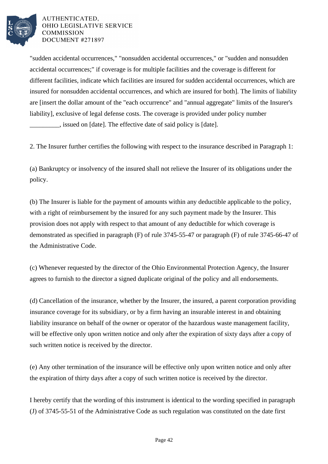

"sudden accidental occurrences," "nonsudden accidental occurrences," or "sudden and nonsudden accidental occurrences;" if coverage is for multiple facilities and the coverage is different for different facilities, indicate which facilities are insured for sudden accidental occurrences, which are insured for nonsudden accidental occurrences, and which are insured for both]. The limits of liability are [insert the dollar amount of the "each occurrence" and "annual aggregate" limits of the Insurer's liability], exclusive of legal defense costs. The coverage is provided under policy number \_\_\_\_\_\_\_\_\_, issued on [date]. The effective date of said policy is [date].

2. The Insurer further certifies the following with respect to the insurance described in Paragraph 1:

(a) Bankruptcy or insolvency of the insured shall not relieve the Insurer of its obligations under the policy.

(b) The Insurer is liable for the payment of amounts within any deductible applicable to the policy, with a right of reimbursement by the insured for any such payment made by the Insurer. This provision does not apply with respect to that amount of any deductible for which coverage is demonstrated as specified in paragraph (F) of rule 3745-55-47 or paragraph (F) of rule 3745-66-47 of the Administrative Code.

(c) Whenever requested by the director of the Ohio Environmental Protection Agency, the Insurer agrees to furnish to the director a signed duplicate original of the policy and all endorsements.

(d) Cancellation of the insurance, whether by the Insurer, the insured, a parent corporation providing insurance coverage for its subsidiary, or by a firm having an insurable interest in and obtaining liability insurance on behalf of the owner or operator of the hazardous waste management facility, will be effective only upon written notice and only after the expiration of sixty days after a copy of such written notice is received by the director.

(e) Any other termination of the insurance will be effective only upon written notice and only after the expiration of thirty days after a copy of such written notice is received by the director.

I hereby certify that the wording of this instrument is identical to the wording specified in paragraph (J) of 3745-55-51 of the Administrative Code as such regulation was constituted on the date first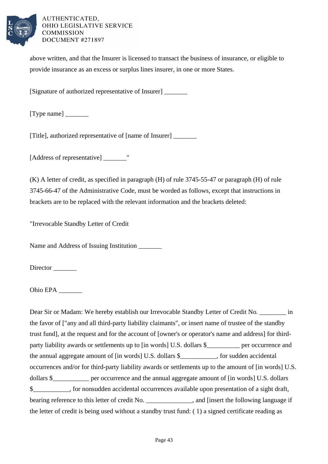

above written, and that the Insurer is licensed to transact the business of insurance, or eligible to provide insurance as an excess or surplus lines insurer, in one or more States.

[Signature of authorized representative of Insurer] \_\_\_\_\_\_\_

[Type name] \_\_\_\_\_\_\_

[Title], authorized representative of [name of Insurer] \_\_\_\_\_\_\_

[Address of representative] \_\_\_\_\_\_\_"

(K) A letter of credit, as specified in paragraph (H) of rule 3745-55-47 or paragraph (H) of rule 3745-66-47 of the Administrative Code, must be worded as follows, except that instructions in brackets are to be replaced with the relevant information and the brackets deleted:

"Irrevocable Standby Letter of Credit

Name and Address of Issuing Institution

Director

Ohio EPA

Dear Sir or Madam: We hereby establish our Irrevocable Standby Letter of Credit No. \_\_\_\_\_\_\_ in the favor of ["any and all third-party liability claimants", or insert name of trustee of the standby trust fund], at the request and for the account of [owner's or operator's name and address] for thirdparty liability awards or settlements up to [in words] U.S. dollars \$\_\_\_\_\_\_\_\_\_ per occurrence and the annual aggregate amount of [in words] U.S. dollars \$\_\_\_\_\_\_\_\_\_\_\_, for sudden accidental occurrences and/or for third-party liability awards or settlements up to the amount of [in words] U.S. dollars \$\_\_\_\_\_\_\_\_\_\_ per occurrence and the annual aggregate amount of [in words] U.S. dollars \$\_\_\_\_\_\_\_\_\_\_\_, for nonsudden accidental occurrences available upon presentation of a sight draft, bearing reference to this letter of credit No. \_\_\_\_\_\_\_\_\_\_\_\_\_, and [insert the following language if the letter of credit is being used without a standby trust fund: ( 1) a signed certificate reading as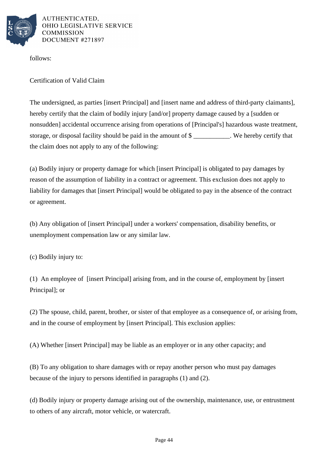

follows:

Certification of Valid Claim

The undersigned, as parties [insert Principal] and [insert name and address of third-party claimants], hereby certify that the claim of bodily injury [and/or] property damage caused by a [sudden or nonsudden] accidental occurrence arising from operations of [Principal's] hazardous waste treatment, storage, or disposal facility should be paid in the amount of \$ \_\_\_\_\_\_\_\_\_\_\_. We hereby certify that the claim does not apply to any of the following:

(a) Bodily injury or property damage for which [insert Principal] is obligated to pay damages by reason of the assumption of liability in a contract or agreement. This exclusion does not apply to liability for damages that [insert Principal] would be obligated to pay in the absence of the contract or agreement.

(b) Any obligation of [insert Principal] under a workers' compensation, disability benefits, or unemployment compensation law or any similar law.

(c) Bodily injury to:

(1) An employee of [insert Principal] arising from, and in the course of, employment by [insert Principal]; or

(2) The spouse, child, parent, brother, or sister of that employee as a consequence of, or arising from, and in the course of employment by [insert Principal]. This exclusion applies:

(A) Whether [insert Principal] may be liable as an employer or in any other capacity; and

(B) To any obligation to share damages with or repay another person who must pay damages because of the injury to persons identified in paragraphs (1) and (2).

(d) Bodily injury or property damage arising out of the ownership, maintenance, use, or entrustment to others of any aircraft, motor vehicle, or watercraft.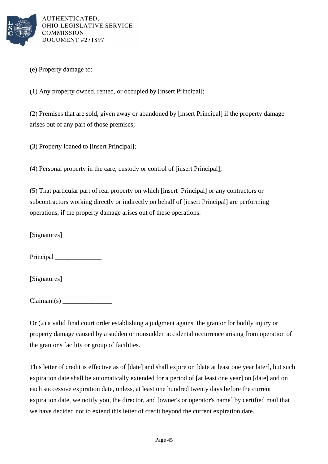

(e) Property damage to:

(1) Any property owned, rented, or occupied by [insert Principal];

(2) Premises that are sold, given away or abandoned by [insert Principal] if the property damage arises out of any part of those premises;

(3) Property loaned to [insert Principal];

(4) Personal property in the care, custody or control of [insert Principal];

(5) That particular part of real property on which [insert Principal] or any contractors or subcontractors working directly or indirectly on behalf of [insert Principal] are performing operations, if the property damage arises out of these operations.

[Signatures]

Principal

[Signatures]

 $Claimant(s)$ 

Or (2) a valid final court order establishing a judgment against the grantor for bodily injury or property damage caused by a sudden or nonsudden accidental occurrence arising from operation of the grantor's facility or group of facilities.

This letter of credit is effective as of [date] and shall expire on [date at least one year later], but such expiration date shall be automatically extended for a period of [at least one year] on [date] and on each successive expiration date, unless, at least one hundred twenty days before the current expiration date, we notify you, the director, and [owner's or operator's name] by certified mail that we have decided not to extend this letter of credit beyond the current expiration date.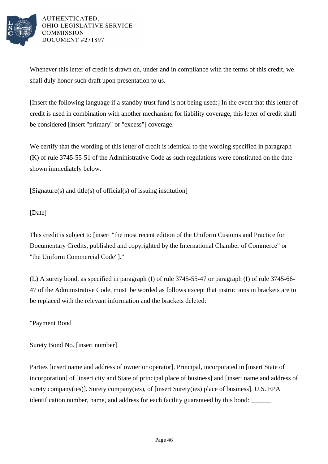

Whenever this letter of credit is drawn on, under and in compliance with the terms of this credit, we shall duly honor such draft upon presentation to us.

[Insert the following language if a standby trust fund is not being used:] In the event that this letter of credit is used in combination with another mechanism for liability coverage, this letter of credit shall be considered [insert "primary" or "excess"] coverage.

We certify that the wording of this letter of credit is identical to the wording specified in paragraph (K) of rule 3745-55-51 of the Administrative Code as such regulations were constituted on the date shown immediately below.

[Signature(s) and title(s) of official(s) of issuing institution]

[Date]

This credit is subject to [insert "the most recent edition of the Uniform Customs and Practice for Documentary Credits, published and copyrighted by the International Chamber of Commerce" or "the Uniform Commercial Code"]."

(L) A surety bond, as specified in paragraph (I) of rule 3745-55-47 or paragraph (I) of rule 3745-66- 47 of the Administrative Code, must be worded as follows except that instructions in brackets are to be replaced with the relevant information and the brackets deleted:

"Payment Bond

Surety Bond No. [insert number]

Parties [insert name and address of owner or operator]. Principal, incorporated in [insert State of incorporation] of [insert city and State of principal place of business] and [insert name and address of surety company(ies)]. Surety company(ies), of [insert Surety(ies) place of business]. U.S. EPA identification number, name, and address for each facility guaranteed by this bond: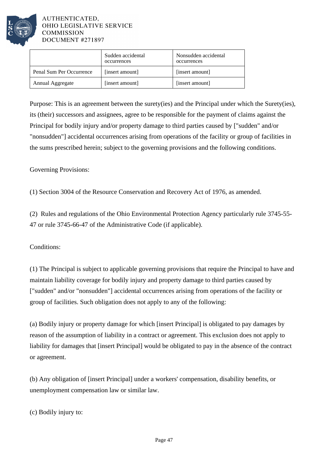

|                          | Sudden accidental<br>occurrences | Nonsudden accidental<br>occurrences |
|--------------------------|----------------------------------|-------------------------------------|
| Penal Sum Per Occurrence | [insert amount]                  | [insert amount]                     |
| Annual Aggregate         | [insert amount]                  | [insert amount]                     |

Purpose: This is an agreement between the surety(ies) and the Principal under which the Surety(ies), its (their) successors and assignees, agree to be responsible for the payment of claims against the Principal for bodily injury and/or property damage to third parties caused by ["sudden" and/or "nonsudden"] accidental occurrences arising from operations of the facility or group of facilities in the sums prescribed herein; subject to the governing provisions and the following conditions.

Governing Provisions:

(1) Section 3004 of the Resource Conservation and Recovery Act of 1976, as amended.

(2) Rules and regulations of the Ohio Environmental Protection Agency particularly rule 3745-55- 47 or rule 3745-66-47 of the Administrative Code (if applicable).

Conditions:

(1) The Principal is subject to applicable governing provisions that require the Principal to have and maintain liability coverage for bodily injury and property damage to third parties caused by ["sudden" and/or "nonsudden"] accidental occurrences arising from operations of the facility or group of facilities. Such obligation does not apply to any of the following:

(a) Bodily injury or property damage for which [insert Principal] is obligated to pay damages by reason of the assumption of liability in a contract or agreement. This exclusion does not apply to liability for damages that [insert Principal] would be obligated to pay in the absence of the contract or agreement.

(b) Any obligation of [insert Principal] under a workers' compensation, disability benefits, or unemployment compensation law or similar law.

(c) Bodily injury to: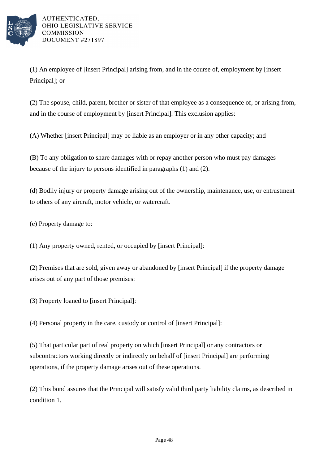

(1) An employee of [insert Principal] arising from, and in the course of, employment by [insert Principal]; or

(2) The spouse, child, parent, brother or sister of that employee as a consequence of, or arising from, and in the course of employment by [insert Principal]. This exclusion applies:

(A) Whether [insert Principal] may be liable as an employer or in any other capacity; and

(B) To any obligation to share damages with or repay another person who must pay damages because of the injury to persons identified in paragraphs (1) and (2).

(d) Bodily injury or property damage arising out of the ownership, maintenance, use, or entrustment to others of any aircraft, motor vehicle, or watercraft.

(e) Property damage to:

(1) Any property owned, rented, or occupied by [insert Principal]:

(2) Premises that are sold, given away or abandoned by [insert Principal] if the property damage arises out of any part of those premises:

(3) Property loaned to [insert Principal]:

(4) Personal property in the care, custody or control of [insert Principal]:

(5) That particular part of real property on which [insert Principal] or any contractors or subcontractors working directly or indirectly on behalf of [insert Principal] are performing operations, if the property damage arises out of these operations.

(2) This bond assures that the Principal will satisfy valid third party liability claims, as described in condition 1.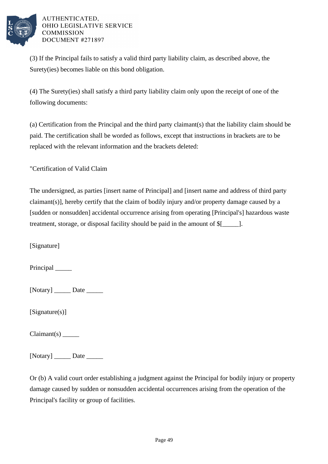

(3) If the Principal fails to satisfy a valid third party liability claim, as described above, the Surety(ies) becomes liable on this bond obligation.

(4) The Surety(ies) shall satisfy a third party liability claim only upon the receipt of one of the following documents:

(a) Certification from the Principal and the third party claimant(s) that the liability claim should be paid. The certification shall be worded as follows, except that instructions in brackets are to be replaced with the relevant information and the brackets deleted:

"Certification of Valid Claim

The undersigned, as parties [insert name of Principal] and [insert name and address of third party claimant(s)], hereby certify that the claim of bodily injury and/or property damage caused by a [sudden or nonsudden] accidental occurrence arising from operating [Principal's] hazardous waste treatment, storage, or disposal facility should be paid in the amount of \$[\_\_\_\_\_].

[Signature]

Principal

 $[Notary]$  Date \_\_\_\_\_\_\_\_

[Signature(s)]

Claimant(s) \_\_\_\_\_

[Notary] Date \_\_\_\_\_\_\_

Or (b) A valid court order establishing a judgment against the Principal for bodily injury or property damage caused by sudden or nonsudden accidental occurrences arising from the operation of the Principal's facility or group of facilities.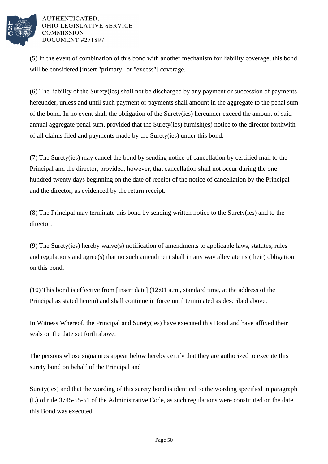

(5) In the event of combination of this bond with another mechanism for liability coverage, this bond will be considered [insert "primary" or "excess"] coverage.

(6) The liability of the Surety(ies) shall not be discharged by any payment or succession of payments hereunder, unless and until such payment or payments shall amount in the aggregate to the penal sum of the bond. In no event shall the obligation of the Surety(ies) hereunder exceed the amount of said annual aggregate penal sum, provided that the Surety(ies) furnish(es) notice to the director forthwith of all claims filed and payments made by the Surety(ies) under this bond.

(7) The Surety(ies) may cancel the bond by sending notice of cancellation by certified mail to the Principal and the director, provided, however, that cancellation shall not occur during the one hundred twenty days beginning on the date of receipt of the notice of cancellation by the Principal and the director, as evidenced by the return receipt.

(8) The Principal may terminate this bond by sending written notice to the Surety(ies) and to the director.

(9) The Surety(ies) hereby waive(s) notification of amendments to applicable laws, statutes, rules and regulations and agree(s) that no such amendment shall in any way alleviate its (their) obligation on this bond.

(10) This bond is effective from [insert date] (12:01 a.m., standard time, at the address of the Principal as stated herein) and shall continue in force until terminated as described above.

In Witness Whereof, the Principal and Surety(ies) have executed this Bond and have affixed their seals on the date set forth above.

The persons whose signatures appear below hereby certify that they are authorized to execute this surety bond on behalf of the Principal and

Surety(ies) and that the wording of this surety bond is identical to the wording specified in paragraph (L) of rule 3745-55-51 of the Administrative Code, as such regulations were constituted on the date this Bond was executed.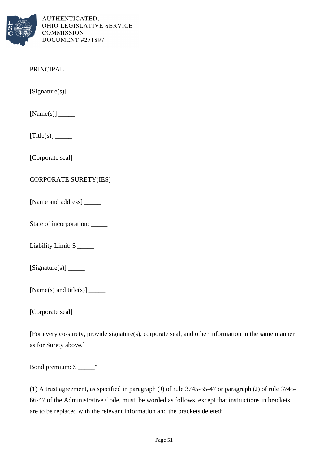

# PRINCIPAL

[Signature(s)]

[Name(s)] \_\_\_\_\_

[Title(s)] \_\_\_\_\_

[Corporate seal]

# CORPORATE SURETY(IES)

[Name and address] \_\_\_\_\_\_\_\_

State of incorporation: \_\_\_\_\_

Liability Limit: \$

[Signature(s)] \_\_\_\_\_

[Name(s) and title(s)]  $\_\_\_\_\_\_\_\_\_\_\_\$ 

[Corporate seal]

[For every co-surety, provide signature(s), corporate seal, and other information in the same manner as for Surety above.]

Bond premium: \$ \_\_\_\_\_"

(1) A trust agreement, as specified in paragraph (J) of rule 3745-55-47 or paragraph (J) of rule 3745- 66-47 of the Administrative Code, must be worded as follows, except that instructions in brackets are to be replaced with the relevant information and the brackets deleted: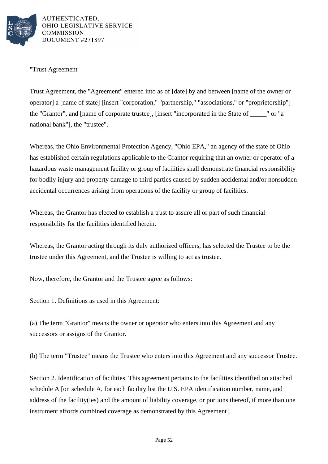

"Trust Agreement

Trust Agreement, the "Agreement" entered into as of [date] by and between [name of the owner or operator] a [name of state] [insert "corporation," "partnership," "associations," or "proprietorship"] the "Grantor", and [name of corporate trustee], [insert "incorporated in the State of \_\_\_\_\_" or "a national bank"], the "trustee".

Whereas, the Ohio Environmental Protection Agency, "Ohio EPA," an agency of the state of Ohio has established certain regulations applicable to the Grantor requiring that an owner or operator of a hazardous waste management facility or group of facilities shall demonstrate financial responsibility for bodily injury and property damage to third parties caused by sudden accidental and/or nonsudden accidental occurrences arising from operations of the facility or group of facilities.

Whereas, the Grantor has elected to establish a trust to assure all or part of such financial responsibility for the facilities identified herein.

Whereas, the Grantor acting through its duly authorized officers, has selected the Trustee to be the trustee under this Agreement, and the Trustee is willing to act as trustee.

Now, therefore, the Grantor and the Trustee agree as follows:

Section 1. Definitions as used in this Agreement:

(a) The term "Grantor" means the owner or operator who enters into this Agreement and any successors or assigns of the Grantor.

(b) The term "Trustee" means the Trustee who enters into this Agreement and any successor Trustee.

Section 2. Identification of facilities. This agreement pertains to the facilities identified on attached schedule A [on schedule A, for each facility list the U.S. EPA identification number, name, and address of the facility(ies) and the amount of liability coverage, or portions thereof, if more than one instrument affords combined coverage as demonstrated by this Agreement].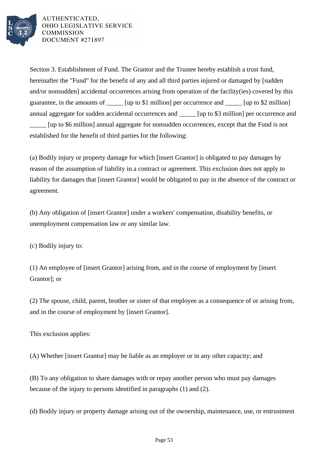

Section 3. Establishment of Fund. The Grantor and the Trustee hereby establish a trust fund, hereinafter the "Fund" for the benefit of any and all third parties injured or damaged by [sudden and/or nonsudden] accidental occurrences arising from operation of the facility(ies) covered by this guarantee, in the amounts of [up to \$1 million] per occurrence and [up to \$2 million] annual aggregate for sudden accidental occurrences and [up to \$3 million] per occurrence and \_\_\_\_\_ [up to \$6 million] annual aggregate for nonsudden occurrences, except that the Fund is not established for the benefit of third parties for the following:

(a) Bodily injury or property damage for which [insert Grantor] is obligated to pay damages by reason of the assumption of liability in a contract or agreement. This exclusion does not apply to liability for damages that [insert Grantor] would be obligated to pay in the absence of the contract or agreement.

(b) Any obligation of [insert Grantor] under a workers' compensation, disability benefits, or unemployment compensation law or any similar law.

(c) Bodily injury to:

(1) An employee of [insert Grantor] arising from, and in the course of employment by [insert Grantor]; or

(2) The spouse, child, parent, brother or sister of that employee as a consequence of or arising from, and in the course of employment by [insert Grantor].

This exclusion applies:

(A) Whether [insert Grantor] may be liable as an employer or in any other capacity; and

(B) To any obligation to share damages with or repay another person who must pay damages because of the injury to persons identified in paragraphs (1) and (2).

(d) Bodily injury or property damage arising out of the ownership, maintenance, use, or entrustment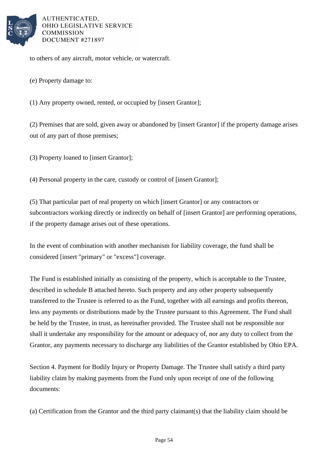

to others of any aircraft, motor vehicle, or watercraft.

(e) Property damage to:

(1) Any property owned, rented, or occupied by [insert Grantor];

(2) Premises that are sold, given away or abandoned by [insert Grantor] if the property damage arises out of any part of those premises;

(3) Property loaned to [insert Grantor];

(4) Personal property in the care, custody or control of [insert Grantor];

(5) That particular part of real property on which [insert Grantor] or any contractors or subcontractors working directly or indirectly on behalf of [insert Grantor] are performing operations, if the property damage arises out of these operations.

In the event of combination with another mechanism for liability coverage, the fund shall be considered [insert "primary" or "excess"] coverage.

The Fund is established initially as consisting of the property, which is acceptable to the Trustee, described in schedule B attached hereto. Such property and any other property subsequently transferred to the Trustee is referred to as the Fund, together with all earnings and profits thereon, less any payments or distributions made by the Trustee pursuant to this Agreement. The Fund shall be held by the Trustee, in trust, as hereinafter provided. The Trustee shall not be responsible nor shall it undertake any responsibility for the amount or adequacy of, nor any duty to collect from the Grantor, any payments necessary to discharge any liabilities of the Grantor established by Ohio EPA.

Section 4. Payment for Bodily Injury or Property Damage. The Trustee shall satisfy a third party liability claim by making payments from the Fund only upon receipt of one of the following documents:

(a) Certification from the Grantor and the third party claimant(s) that the liability claim should be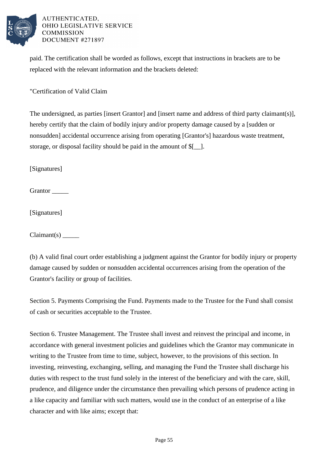

paid. The certification shall be worded as follows, except that instructions in brackets are to be replaced with the relevant information and the brackets deleted:

"Certification of Valid Claim

The undersigned, as parties [insert Grantor] and [insert name and address of third party claimant(s)], hereby certify that the claim of bodily injury and/or property damage caused by a [sudden or nonsudden] accidental occurrence arising from operating [Grantor's] hazardous waste treatment, storage, or disposal facility should be paid in the amount of \$[\_\_].

[Signatures]

Grantor

[Signatures]

Claimant(s) \_\_\_\_\_

(b) A valid final court order establishing a judgment against the Grantor for bodily injury or property damage caused by sudden or nonsudden accidental occurrences arising from the operation of the Grantor's facility or group of facilities.

Section 5. Payments Comprising the Fund. Payments made to the Trustee for the Fund shall consist of cash or securities acceptable to the Trustee.

Section 6. Trustee Management. The Trustee shall invest and reinvest the principal and income, in accordance with general investment policies and guidelines which the Grantor may communicate in writing to the Trustee from time to time, subject, however, to the provisions of this section. In investing, reinvesting, exchanging, selling, and managing the Fund the Trustee shall discharge his duties with respect to the trust fund solely in the interest of the beneficiary and with the care, skill, prudence, and diligence under the circumstance then prevailing which persons of prudence acting in a like capacity and familiar with such matters, would use in the conduct of an enterprise of a like character and with like aims; except that: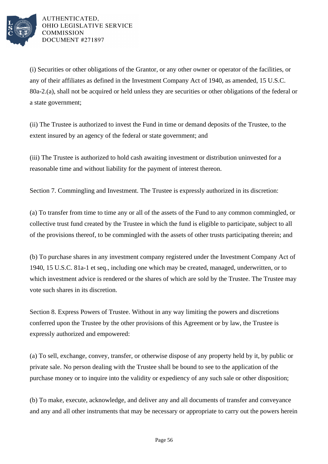

(i) Securities or other obligations of the Grantor, or any other owner or operator of the facilities, or any of their affiliates as defined in the Investment Company Act of 1940, as amended, 15 U.S.C. 80a-2.(a), shall not be acquired or held unless they are securities or other obligations of the federal or a state government;

(ii) The Trustee is authorized to invest the Fund in time or demand deposits of the Trustee, to the extent insured by an agency of the federal or state government; and

(iii) The Trustee is authorized to hold cash awaiting investment or distribution uninvested for a reasonable time and without liability for the payment of interest thereon.

Section 7. Commingling and Investment. The Trustee is expressly authorized in its discretion:

(a) To transfer from time to time any or all of the assets of the Fund to any common commingled, or collective trust fund created by the Trustee in which the fund is eligible to participate, subject to all of the provisions thereof, to be commingled with the assets of other trusts participating therein; and

(b) To purchase shares in any investment company registered under the Investment Company Act of 1940, 15 U.S.C. 81a-1 et seq., including one which may be created, managed, underwritten, or to which investment advice is rendered or the shares of which are sold by the Trustee. The Trustee may vote such shares in its discretion.

Section 8. Express Powers of Trustee. Without in any way limiting the powers and discretions conferred upon the Trustee by the other provisions of this Agreement or by law, the Trustee is expressly authorized and empowered:

(a) To sell, exchange, convey, transfer, or otherwise dispose of any property held by it, by public or private sale. No person dealing with the Trustee shall be bound to see to the application of the purchase money or to inquire into the validity or expediency of any such sale or other disposition;

(b) To make, execute, acknowledge, and deliver any and all documents of transfer and conveyance and any and all other instruments that may be necessary or appropriate to carry out the powers herein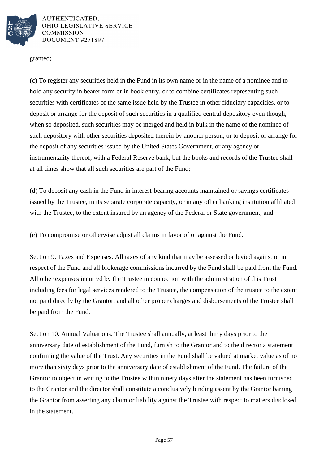

granted;

(c) To register any securities held in the Fund in its own name or in the name of a nominee and to hold any security in bearer form or in book entry, or to combine certificates representing such securities with certificates of the same issue held by the Trustee in other fiduciary capacities, or to deposit or arrange for the deposit of such securities in a qualified central depository even though, when so deposited, such securities may be merged and held in bulk in the name of the nominee of such depository with other securities deposited therein by another person, or to deposit or arrange for the deposit of any securities issued by the United States Government, or any agency or instrumentality thereof, with a Federal Reserve bank, but the books and records of the Trustee shall at all times show that all such securities are part of the Fund;

(d) To deposit any cash in the Fund in interest-bearing accounts maintained or savings certificates issued by the Trustee, in its separate corporate capacity, or in any other banking institution affiliated with the Trustee, to the extent insured by an agency of the Federal or State government; and

(e) To compromise or otherwise adjust all claims in favor of or against the Fund.

Section 9. Taxes and Expenses. All taxes of any kind that may be assessed or levied against or in respect of the Fund and all brokerage commissions incurred by the Fund shall be paid from the Fund. All other expenses incurred by the Trustee in connection with the administration of this Trust including fees for legal services rendered to the Trustee, the compensation of the trustee to the extent not paid directly by the Grantor, and all other proper charges and disbursements of the Trustee shall be paid from the Fund.

Section 10. Annual Valuations. The Trustee shall annually, at least thirty days prior to the anniversary date of establishment of the Fund, furnish to the Grantor and to the director a statement confirming the value of the Trust. Any securities in the Fund shall be valued at market value as of no more than sixty days prior to the anniversary date of establishment of the Fund. The failure of the Grantor to object in writing to the Trustee within ninety days after the statement has been furnished to the Grantor and the director shall constitute a conclusively binding assent by the Grantor barring the Grantor from asserting any claim or liability against the Trustee with respect to matters disclosed in the statement.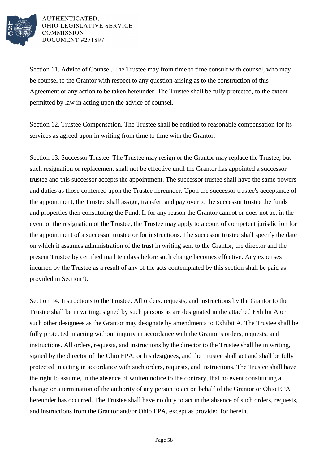

Section 11. Advice of Counsel. The Trustee may from time to time consult with counsel, who may be counsel to the Grantor with respect to any question arising as to the construction of this Agreement or any action to be taken hereunder. The Trustee shall be fully protected, to the extent permitted by law in acting upon the advice of counsel.

Section 12. Trustee Compensation. The Trustee shall be entitled to reasonable compensation for its services as agreed upon in writing from time to time with the Grantor.

Section 13. Successor Trustee. The Trustee may resign or the Grantor may replace the Trustee, but such resignation or replacement shall not be effective until the Grantor has appointed a successor trustee and this successor accepts the appointment. The successor trustee shall have the same powers and duties as those conferred upon the Trustee hereunder. Upon the successor trustee's acceptance of the appointment, the Trustee shall assign, transfer, and pay over to the successor trustee the funds and properties then constituting the Fund. If for any reason the Grantor cannot or does not act in the event of the resignation of the Trustee, the Trustee may apply to a court of competent jurisdiction for the appointment of a successor trustee or for instructions. The successor trustee shall specify the date on which it assumes administration of the trust in writing sent to the Grantor, the director and the present Trustee by certified mail ten days before such change becomes effective. Any expenses incurred by the Trustee as a result of any of the acts contemplated by this section shall be paid as provided in Section 9.

Section 14. Instructions to the Trustee. All orders, requests, and instructions by the Grantor to the Trustee shall be in writing, signed by such persons as are designated in the attached Exhibit A or such other designees as the Grantor may designate by amendments to Exhibit A. The Trustee shall be fully protected in acting without inquiry in accordance with the Grantor's orders, requests, and instructions. All orders, requests, and instructions by the director to the Trustee shall be in writing, signed by the director of the Ohio EPA, or his designees, and the Trustee shall act and shall be fully protected in acting in accordance with such orders, requests, and instructions. The Trustee shall have the right to assume, in the absence of written notice to the contrary, that no event constituting a change or a termination of the authority of any person to act on behalf of the Grantor or Ohio EPA hereunder has occurred. The Trustee shall have no duty to act in the absence of such orders, requests, and instructions from the Grantor and/or Ohio EPA, except as provided for herein.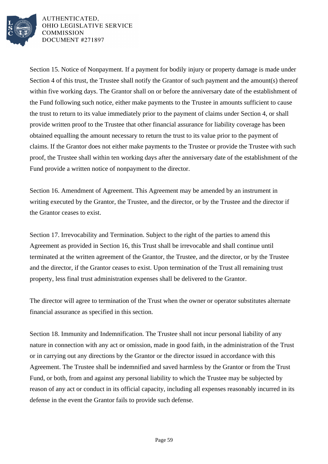

Section 15. Notice of Nonpayment. If a payment for bodily injury or property damage is made under Section 4 of this trust, the Trustee shall notify the Grantor of such payment and the amount(s) thereof within five working days. The Grantor shall on or before the anniversary date of the establishment of the Fund following such notice, either make payments to the Trustee in amounts sufficient to cause the trust to return to its value immediately prior to the payment of claims under Section 4, or shall provide written proof to the Trustee that other financial assurance for liability coverage has been obtained equalling the amount necessary to return the trust to its value prior to the payment of claims. If the Grantor does not either make payments to the Trustee or provide the Trustee with such proof, the Trustee shall within ten working days after the anniversary date of the establishment of the Fund provide a written notice of nonpayment to the director.

Section 16. Amendment of Agreement. This Agreement may be amended by an instrument in writing executed by the Grantor, the Trustee, and the director, or by the Trustee and the director if the Grantor ceases to exist.

Section 17. Irrevocability and Termination. Subject to the right of the parties to amend this Agreement as provided in Section 16, this Trust shall be irrevocable and shall continue until terminated at the written agreement of the Grantor, the Trustee, and the director, or by the Trustee and the director, if the Grantor ceases to exist. Upon termination of the Trust all remaining trust property, less final trust administration expenses shall be delivered to the Grantor.

The director will agree to termination of the Trust when the owner or operator substitutes alternate financial assurance as specified in this section.

Section 18. Immunity and Indemnification. The Trustee shall not incur personal liability of any nature in connection with any act or omission, made in good faith, in the administration of the Trust or in carrying out any directions by the Grantor or the director issued in accordance with this Agreement. The Trustee shall be indemnified and saved harmless by the Grantor or from the Trust Fund, or both, from and against any personal liability to which the Trustee may be subjected by reason of any act or conduct in its official capacity, including all expenses reasonably incurred in its defense in the event the Grantor fails to provide such defense.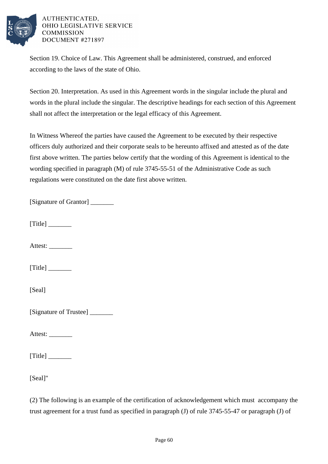

Section 19. Choice of Law. This Agreement shall be administered, construed, and enforced according to the laws of the state of Ohio.

Section 20. Interpretation. As used in this Agreement words in the singular include the plural and words in the plural include the singular. The descriptive headings for each section of this Agreement shall not affect the interpretation or the legal efficacy of this Agreement.

In Witness Whereof the parties have caused the Agreement to be executed by their respective officers duly authorized and their corporate seals to be hereunto affixed and attested as of the date first above written. The parties below certify that the wording of this Agreement is identical to the wording specified in paragraph (M) of rule 3745-55-51 of the Administrative Code as such regulations were constituted on the date first above written.

[Signature of Grantor] \_\_\_\_\_\_\_

 $[Title]$ 

Attest: \_\_\_\_\_\_\_

 $[Title]$ 

[Seal]

[Signature of Trustee] \_\_\_\_\_\_\_

Attest:

 $[Title]$ 

[Seal]"

(2) The following is an example of the certification of acknowledgement which must accompany the trust agreement for a trust fund as specified in paragraph (J) of rule 3745-55-47 or paragraph (J) of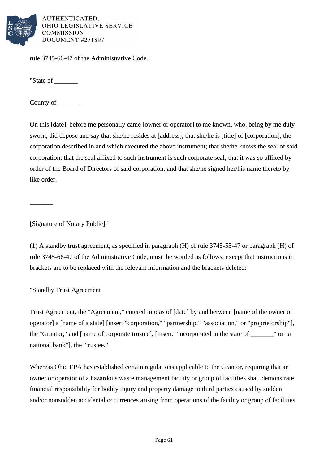

rule 3745-66-47 of the Administrative Code.

"State of \_\_\_\_\_\_\_\_

County of

On this [date], before me personally came [owner or operator] to me known, who, being by me duly sworn, did depose and say that she/he resides at [address], that she/he is [title] of [corporation], the corporation described in and which executed the above instrument; that she/he knows the seal of said corporation; that the seal affixed to such instrument is such corporate seal; that it was so affixed by order of the Board of Directors of said corporation, and that she/he signed her/his name thereto by like order.

[Signature of Notary Public]"

 $\overline{\phantom{a}}$ 

(1) A standby trust agreement, as specified in paragraph (H) of rule 3745-55-47 or paragraph (H) of rule 3745-66-47 of the Administrative Code, must be worded as follows, except that instructions in brackets are to be replaced with the relevant information and the brackets deleted:

"Standby Trust Agreement

Trust Agreement, the "Agreement," entered into as of [date] by and between [name of the owner or operator] a [name of a state] [insert "corporation," "partnership," "association," or "proprietorship"], the "Grantor," and [name of corporate trustee], [insert, "incorporated in the state of \_\_\_\_\_\_\_" or "a national bank"], the "trustee."

Whereas Ohio EPA has established certain regulations applicable to the Grantor, requiring that an owner or operator of a hazardous waste management facility or group of facilities shall demonstrate financial responsibility for bodily injury and property damage to third parties caused by sudden and/or nonsudden accidental occurrences arising from operations of the facility or group of facilities.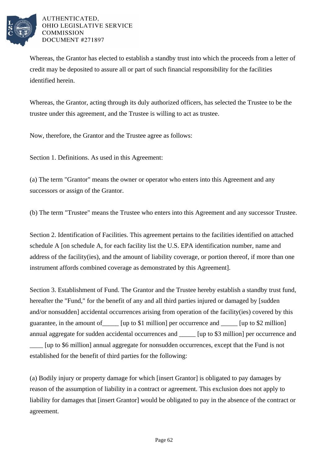

Whereas, the Grantor has elected to establish a standby trust into which the proceeds from a letter of credit may be deposited to assure all or part of such financial responsibility for the facilities identified herein.

Whereas, the Grantor, acting through its duly authorized officers, has selected the Trustee to be the trustee under this agreement, and the Trustee is willing to act as trustee.

Now, therefore, the Grantor and the Trustee agree as follows:

Section 1. Definitions. As used in this Agreement:

(a) The term "Grantor" means the owner or operator who enters into this Agreement and any successors or assign of the Grantor.

(b) The term "Trustee" means the Trustee who enters into this Agreement and any successor Trustee.

Section 2. Identification of Facilities. This agreement pertains to the facilities identified on attached schedule A [on schedule A, for each facility list the U.S. EPA identification number, name and address of the facility(ies), and the amount of liability coverage, or portion thereof, if more than one instrument affords combined coverage as demonstrated by this Agreement].

Section 3. Establishment of Fund. The Grantor and the Trustee hereby establish a standby trust fund, hereafter the "Fund," for the benefit of any and all third parties injured or damaged by [sudden and/or nonsudden] accidental occurrences arising from operation of the facility(ies) covered by this guarantee, in the amount of [up to \$1 million] per occurrence and [up to \$2 million] annual aggregate for sudden accidental occurrences and \_\_\_\_\_ [up to \$3 million] per occurrence and \_\_\_\_ [up to \$6 million] annual aggregate for nonsudden occurrences, except that the Fund is not established for the benefit of third parties for the following:

(a) Bodily injury or property damage for which [insert Grantor] is obligated to pay damages by reason of the assumption of liability in a contract or agreement. This exclusion does not apply to liability for damages that [insert Grantor] would be obligated to pay in the absence of the contract or agreement.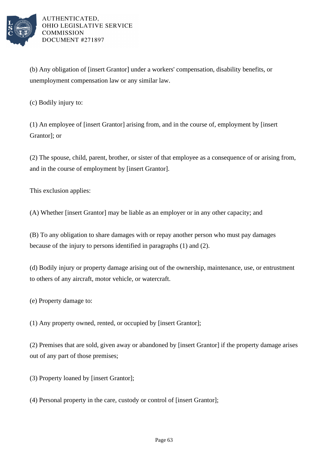

(b) Any obligation of [insert Grantor] under a workers' compensation, disability benefits, or unemployment compensation law or any similar law.

(c) Bodily injury to:

(1) An employee of [insert Grantor] arising from, and in the course of, employment by [insert Grantor]; or

(2) The spouse, child, parent, brother, or sister of that employee as a consequence of or arising from, and in the course of employment by [insert Grantor].

This exclusion applies:

(A) Whether [insert Grantor] may be liable as an employer or in any other capacity; and

(B) To any obligation to share damages with or repay another person who must pay damages because of the injury to persons identified in paragraphs (1) and (2).

(d) Bodily injury or property damage arising out of the ownership, maintenance, use, or entrustment to others of any aircraft, motor vehicle, or watercraft.

(e) Property damage to:

(1) Any property owned, rented, or occupied by [insert Grantor];

(2) Premises that are sold, given away or abandoned by [insert Grantor] if the property damage arises out of any part of those premises;

(3) Property loaned by [insert Grantor];

(4) Personal property in the care, custody or control of [insert Grantor];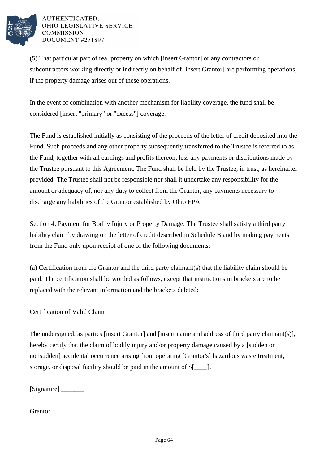

(5) That particular part of real property on which [insert Grantor] or any contractors or subcontractors working directly or indirectly on behalf of [insert Grantor] are performing operations, if the property damage arises out of these operations.

In the event of combination with another mechanism for liability coverage, the fund shall be considered [insert "primary" or "excess"] coverage.

The Fund is established initially as consisting of the proceeds of the letter of credit deposited into the Fund. Such proceeds and any other property subsequently transferred to the Trustee is referred to as the Fund, together with all earnings and profits thereon, less any payments or distributions made by the Trustee pursuant to this Agreement. The Fund shall be held by the Trustee, in trust, as hereinafter provided. The Trustee shall not be responsible nor shall it undertake any responsibility for the amount or adequacy of, nor any duty to collect from the Grantor, any payments necessary to discharge any liabilities of the Grantor established by Ohio EPA.

Section 4. Payment for Bodily Injury or Property Damage. The Trustee shall satisfy a third party liability claim by drawing on the letter of credit described in Schedule B and by making payments from the Fund only upon receipt of one of the following documents:

(a) Certification from the Grantor and the third party claimant(s) that the liability claim should be paid. The certification shall be worded as follows, except that instructions in brackets are to be replaced with the relevant information and the brackets deleted:

Certification of Valid Claim

The undersigned, as parties [insert Grantor] and [insert name and address of third party claimant(s)], hereby certify that the claim of bodily injury and/or property damage caused by a [sudden or nonsudden] accidental occurrence arising from operating [Grantor's] hazardous waste treatment, storage, or disposal facility should be paid in the amount of \$[\_\_\_\_].

[Signature]

# Grantor  $\Box$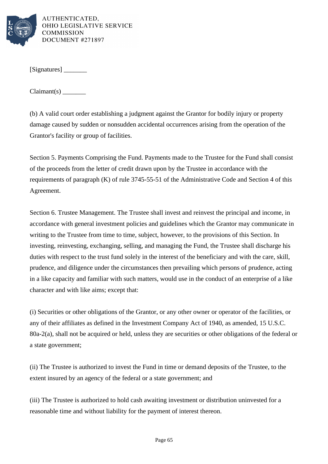

[Signatures] \_\_\_\_\_\_\_

Claimant(s) \_\_\_\_\_\_\_

(b) A valid court order establishing a judgment against the Grantor for bodily injury or property damage caused by sudden or nonsudden accidental occurrences arising from the operation of the Grantor's facility or group of facilities.

Section 5. Payments Comprising the Fund. Payments made to the Trustee for the Fund shall consist of the proceeds from the letter of credit drawn upon by the Trustee in accordance with the requirements of paragraph (K) of rule 3745-55-51 of the Administrative Code and Section 4 of this Agreement.

Section 6. Trustee Management. The Trustee shall invest and reinvest the principal and income, in accordance with general investment policies and guidelines which the Grantor may communicate in writing to the Trustee from time to time, subject, however, to the provisions of this Section. In investing, reinvesting, exchanging, selling, and managing the Fund, the Trustee shall discharge his duties with respect to the trust fund solely in the interest of the beneficiary and with the care, skill, prudence, and diligence under the circumstances then prevailing which persons of prudence, acting in a like capacity and familiar with such matters, would use in the conduct of an enterprise of a like character and with like aims; except that:

(i) Securities or other obligations of the Grantor, or any other owner or operator of the facilities, or any of their affiliates as defined in the Investment Company Act of 1940, as amended, 15 U.S.C. 80a-2(a), shall not be acquired or held, unless they are securities or other obligations of the federal or a state government;

(ii) The Trustee is authorized to invest the Fund in time or demand deposits of the Trustee, to the extent insured by an agency of the federal or a state government; and

(iii) The Trustee is authorized to hold cash awaiting investment or distribution uninvested for a reasonable time and without liability for the payment of interest thereon.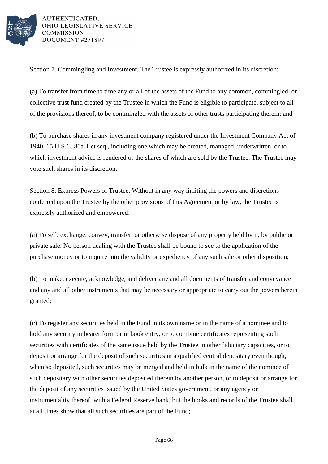

Section 7. Commingling and Investment. The Trustee is expressly authorized in its discretion:

(a) To transfer from time to time any or all of the assets of the Fund to any common, commingled, or collective trust fund created by the Trustee in which the Fund is eligible to participate, subject to all of the provisions thereof, to be commingled with the assets of other trusts participating therein; and

(b) To purchase shares in any investment company registered under the Investment Company Act of 1940, 15 U.S.C. 80a-1 et seq., including one which may be created, managed, underwritten, or to which investment advice is rendered or the shares of which are sold by the Trustee. The Trustee may vote such shares in its discretion.

Section 8. Express Powers of Trustee. Without in any way limiting the powers and discretions conferred upon the Trustee by the other provisions of this Agreement or by law, the Trustee is expressly authorized and empowered:

(a) To sell, exchange, convey, transfer, or otherwise dispose of any property held by it, by public or private sale. No person dealing with the Trustee shall be bound to see to the application of the purchase money or to inquire into the validity or expediency of any such sale or other disposition;

(b) To make, execute, acknowledge, and deliver any and all documents of transfer and conveyance and any and all other instruments that may be necessary or appropriate to carry out the powers herein granted;

(c) To register any securities held in the Fund in its own name or in the name of a nominee and to hold any security in bearer form or in book entry, or to combine certificates representing such securities with certificates of the same issue held by the Trustee in other fiduciary capacities, or to deposit or arrange for the deposit of such securities in a qualified central depositary even though, when so deposited, such securities may be merged and held in bulk in the name of the nominee of such depositary with other securities deposited therein by another person, or to deposit or arrange for the deposit of any securities issued by the United States government, or any agency or instrumentality thereof, with a Federal Reserve bank, but the books and records of the Trustee shall at all times show that all such securities are part of the Fund;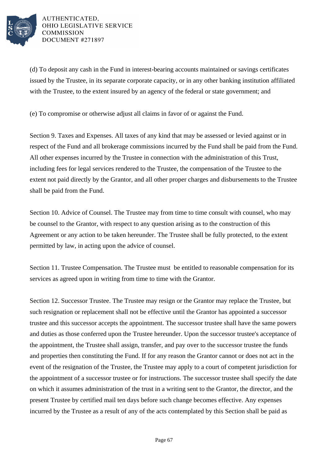

(d) To deposit any cash in the Fund in interest-bearing accounts maintained or savings certificates issued by the Trustee, in its separate corporate capacity, or in any other banking institution affiliated with the Trustee, to the extent insured by an agency of the federal or state government; and

(e) To compromise or otherwise adjust all claims in favor of or against the Fund.

Section 9. Taxes and Expenses. All taxes of any kind that may be assessed or levied against or in respect of the Fund and all brokerage commissions incurred by the Fund shall be paid from the Fund. All other expenses incurred by the Trustee in connection with the administration of this Trust, including fees for legal services rendered to the Trustee, the compensation of the Trustee to the extent not paid directly by the Grantor, and all other proper charges and disbursements to the Trustee shall be paid from the Fund.

Section 10. Advice of Counsel. The Trustee may from time to time consult with counsel, who may be counsel to the Grantor, with respect to any question arising as to the construction of this Agreement or any action to be taken hereunder. The Trustee shall be fully protected, to the extent permitted by law, in acting upon the advice of counsel.

Section 11. Trustee Compensation. The Trustee must be entitled to reasonable compensation for its services as agreed upon in writing from time to time with the Grantor.

Section 12. Successor Trustee. The Trustee may resign or the Grantor may replace the Trustee, but such resignation or replacement shall not be effective until the Grantor has appointed a successor trustee and this successor accepts the appointment. The successor trustee shall have the same powers and duties as those conferred upon the Trustee hereunder. Upon the successor trustee's acceptance of the appointment, the Trustee shall assign, transfer, and pay over to the successor trustee the funds and properties then constituting the Fund. If for any reason the Grantor cannot or does not act in the event of the resignation of the Trustee, the Trustee may apply to a court of competent jurisdiction for the appointment of a successor trustee or for instructions. The successor trustee shall specify the date on which it assumes administration of the trust in a writing sent to the Grantor, the director, and the present Trustee by certified mail ten days before such change becomes effective. Any expenses incurred by the Trustee as a result of any of the acts contemplated by this Section shall be paid as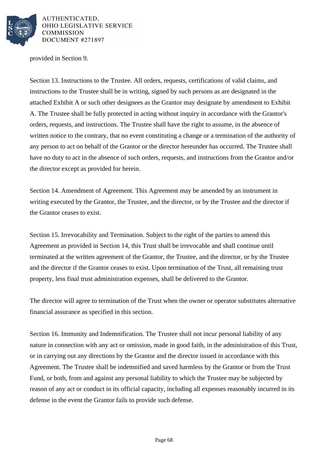

provided in Section 9.

Section 13. Instructions to the Trustee. All orders, requests, certifications of valid claims, and instructions to the Trustee shall be in writing, signed by such persons as are designated in the attached Exhibit A or such other designees as the Grantor may designate by amendment to Exhibit A. The Trustee shall be fully protected in acting without inquiry in accordance with the Grantor's orders, requests, and instructions. The Trustee shall have the right to assume, in the absence of written notice to the contrary, that no event constituting a change or a termination of the authority of any person to act on behalf of the Grantor or the director hereunder has occurred. The Trustee shall have no duty to act in the absence of such orders, requests, and instructions from the Grantor and/or the director except as provided for herein.

Section 14. Amendment of Agreement. This Agreement may be amended by an instrument in writing executed by the Grantor, the Trustee, and the director, or by the Trustee and the director if the Grantor ceases to exist.

Section 15. Irrevocability and Termination. Subject to the right of the parties to amend this Agreement as provided in Section 14, this Trust shall be irrevocable and shall continue until terminated at the written agreement of the Grantor, the Trustee, and the director, or by the Trustee and the director if the Grantor ceases to exist. Upon termination of the Trust, all remaining trust property, less final trust administration expenses, shall be delivered to the Grantor.

The director will agree to termination of the Trust when the owner or operator substitutes alternative financial assurance as specified in this section.

Section 16. Immunity and Indemnification. The Trustee shall not incur personal liability of any nature in connection with any act or omission, made in good faith, in the administration of this Trust, or in carrying out any directions by the Grantor and the director issued in accordance with this Agreement. The Trustee shall be indemnified and saved harmless by the Grantor or from the Trust Fund, or both, from and against any personal liability to which the Trustee may be subjected by reason of any act or conduct in its official capacity, including all expenses reasonably incurred in its defense in the event the Grantor fails to provide such defense.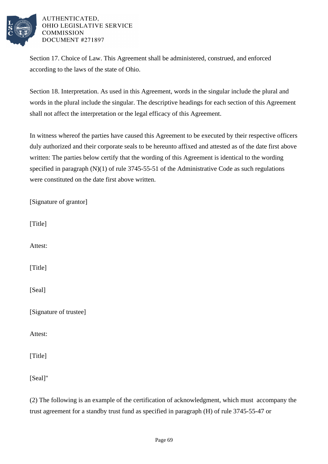

Section 17. Choice of Law. This Agreement shall be administered, construed, and enforced according to the laws of the state of Ohio.

Section 18. Interpretation. As used in this Agreement, words in the singular include the plural and words in the plural include the singular. The descriptive headings for each section of this Agreement shall not affect the interpretation or the legal efficacy of this Agreement.

In witness whereof the parties have caused this Agreement to be executed by their respective officers duly authorized and their corporate seals to be hereunto affixed and attested as of the date first above written: The parties below certify that the wording of this Agreement is identical to the wording specified in paragraph (N)(1) of rule 3745-55-51 of the Administrative Code as such regulations were constituted on the date first above written.

| [Signature of grantor] |
|------------------------|
| [Title]                |
| Attest:                |
| [Title]                |
| [Seal]                 |
| [Signature of trustee] |
| Attest:                |
| [Title]                |
| [Seal]"                |

(2) The following is an example of the certification of acknowledgment, which must accompany the trust agreement for a standby trust fund as specified in paragraph (H) of rule 3745-55-47 or